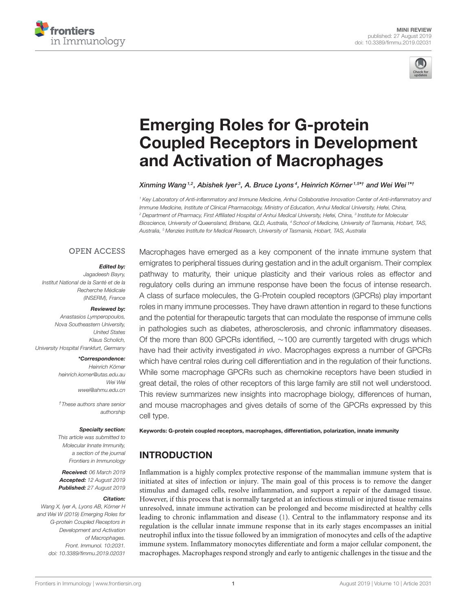



# Emerging Roles for G-protein [Coupled Receptors in Development](https://www.frontiersin.org/articles/10.3389/fimmu.2019.02031/full) and Activation of Macrophages

#### Xinming Wang <sup>1,2</sup>, Abishek lyer<sup>3</sup>, [A. Bruce Lyons](http://loop.frontiersin.org/people/100605/overview)<sup>4</sup>, [Heinrich Körner](http://loop.frontiersin.org/people/77529/overview) <sup>1,5</sup>\*† and [Wei Wei](http://loop.frontiersin.org/people/339244/overview) <sup>1\*†</sup>

<sup>1</sup> Key Laboratory of Anti-inflammatory and Immune Medicine, Anhui Collaborative Innovation Center of Anti-inflammatory and Immune Medicine, Institute of Clinical Pharmacology, Ministry of Education, Anhui Medical University, Hefei, China, <sup>2</sup> Department of Pharmacy, First Affiliated Hospital of Anhui Medical University, Hefei, China, <sup>3</sup> Institute for Molecular Bioscience, University of Queensland, Brisbane, QLD, Australia, <sup>4</sup> School of Medicine, University of Tasmania, Hobart, TAS, Australia, <sup>5</sup> Menzies Institute for Medical Research, University of Tasmania, Hobart, TAS, Australia

#### **OPEN ACCESS**

#### Edited by:

Jagadeesh Bayry, Institut National de la Santé et de la Recherche Médicale (INSERM), France

#### Reviewed by:

Anastasios Lymperopoulos, Nova Southeastern University, United States Klaus Scholich, University Hospital Frankfurt, Germany

#### \*Correspondence:

Heinrich Körner [heinrich.korner@utas.edu.au](mailto:heinrich.korner@utas.edu.au) Wei Wei [wwei@ahmu.edu.cn](mailto:wwei@ahmu.edu.cn)

†These authors share senior authorship

#### Specialty section:

This article was submitted to Molecular Innate Immunity, a section of the journal Frontiers in Immunology

Received: 06 March 2019 Accepted: 12 August 2019 Published: 27 August 2019

#### Citation:

Wang X, Iyer A, Lyons AB, Körner H and Wei W (2019) Emerging Roles for G-protein Coupled Receptors in Development and Activation of Macrophages. Front. Immunol. 10:2031. doi: [10.3389/fimmu.2019.02031](https://doi.org/10.3389/fimmu.2019.02031)

Macrophages have emerged as a key component of the innate immune system that emigrates to peripheral tissues during gestation and in the adult organism. Their complex pathway to maturity, their unique plasticity and their various roles as effector and regulatory cells during an immune response have been the focus of intense research. A class of surface molecules, the G-Protein coupled receptors (GPCRs) play important roles in many immune processes. They have drawn attention in regard to these functions and the potential for therapeutic targets that can modulate the response of immune cells in pathologies such as diabetes, atherosclerosis, and chronic inflammatory diseases. Of the more than 800 GPCRs identified, ∼100 are currently targeted with drugs which have had their activity investigated in vivo. Macrophages express a number of GPCRs which have central roles during cell differentiation and in the regulation of their functions. While some macrophage GPCRs such as chemokine receptors have been studied in great detail, the roles of other receptors of this large family are still not well understood. This review summarizes new insights into macrophage biology, differences of human, and mouse macrophages and gives details of some of the GPCRs expressed by this cell type.

Keywords: G-protein coupled receptors, macrophages, differentiation, polarization, innate immunity

# INTRODUCTION

Inflammation is a highly complex protective response of the mammalian immune system that is initiated at sites of infection or injury. The main goal of this process is to remove the danger stimulus and damaged cells, resolve inflammation, and support a repair of the damaged tissue. However, if this process that is normally targeted at an infectious stimuli or injured tissue remains unresolved, innate immune activation can be prolonged and become misdirected at healthy cells leading to chronic inflammation and disease [\(1\)](#page-9-0). Central to the inflammatory response and its regulation is the cellular innate immune response that in its early stages encompasses an initial neutrophil influx into the tissue followed by an immigration of monocytes and cells of the adaptive immune system. Inflammatory monocytes differentiate and form a major cellular component, the macrophages. Macrophages respond strongly and early to antigenic challenges in the tissue and the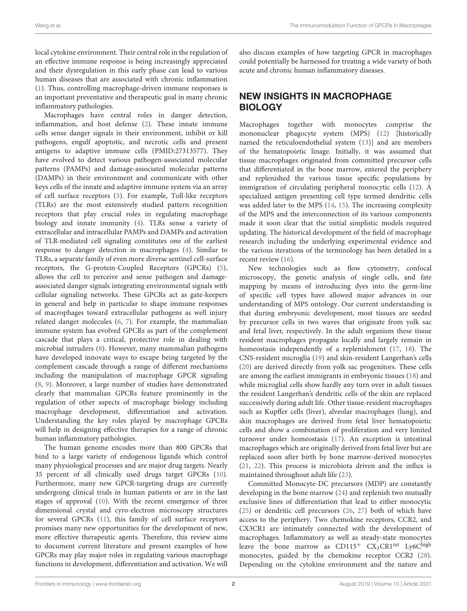local cytokine environment. Their central role in the regulation of an effective immune response is being increasingly appreciated and their dysregulation in this early phase can lead to various human diseases that are associated with chronic inflammation [\(1\)](#page-9-0). Thus, controlling macrophage-driven immune responses is an important preventative and therapeutic goal in many chronic inflammatory pathologies.

Macrophages have central roles in danger detection, inflammation, and host defense [\(2\)](#page-9-1). These innate immune cells sense danger signals in their environment, inhibit or kill pathogens, engulf apoptotic, and necrotic cells and present antigens to adaptive immune cells (PMID:27313577). They have evolved to detect various pathogen-associated molecular patterns (PAMPs) and damage-associated molecular patterns (DAMPs) in their environment and communicate with other keys cells of the innate and adaptive immune system via an array of cell surface receptors [\(3\)](#page-9-2). For example, Toll-like receptors (TLRs) are the most extensively studied pattern recognition receptors that play crucial roles in regulating macrophage biology and innate immunity [\(4\)](#page-9-3). TLRs sense a variety of extracellular and intracellular PAMPs and DAMPs and activation of TLR-mediated cell signaling constitutes one of the earliest response to danger detection in macrophages [\(4\)](#page-9-3). Similar to TLRs, a separate family of even more diverse sentinel cell-surface receptors, the G-protein-Coupled Receptors (GPCRs) [\(5\)](#page-9-4), allows the cell to perceive and sense pathogen and damageassociated danger signals integrating environmental signals with cellular signaling networks. These GPCRs act as gate-keepers in general and help in particular to shape immune responses of macrophages toward extracellular pathogens as well injury related danger molecules [\(6,](#page-9-5) [7\)](#page-9-6). For example, the mammalian immune system has evolved GPCRs as part of the complement cascade that plays a critical, protective role in dealing with microbial intruders [\(8\)](#page-9-7). However, many mammalian pathogens have developed innovate ways to escape being targeted by the complement cascade through a range of different mechanisms including the manipulation of macrophage GPCR signaling [\(8,](#page-9-7) [9\)](#page-9-8). Moreover, a large number of studies have demonstrated clearly that mammalian GPCRs feature prominently in the regulation of other aspects of macrophage biology including macrophage development, differentiation and activation. Understanding the key roles played by macrophage GPCRs will help in designing effective therapies for a range of chronic human inflammatory pathologies.

The human genome encodes more than 800 GPCRs that bind to a large variety of endogenous ligands which control many physiological processes and are major drug targets. Nearly 35 percent of all clinically used drugs target GPCRs [\(10\)](#page-9-9). Furthermore, many new GPCR-targeting drugs are currently undergoing clinical trials in human patients or are in the last stages of approval [\(10\)](#page-9-9). With the recent emergence of three dimensional crystal and cyro-electron microscopy structures for several GPCRs [\(11\)](#page-9-10), this family of cell surface receptors promises many new opportunities for the development of new, more effective therapeutic agents. Therefore, this review aims to document current literature and present examples of how GPCRs may play major roles in regulating various macrophage functions in development, differentiation and activation. We will

also discuss examples of how targeting GPCR in macrophages could potentially be harnessed for treating a wide variety of both acute and chronic human inflammatory diseases.

# NEW INSIGHTS IN MACROPHAGE BIOLOGY

Macrophages together with monocytes comprise the mononuclear phagocyte system (MPS) [\(12\)](#page-9-11) [historically named the reticuloendothelial system [\(13\)](#page-9-12)] and are members of the hematopoietic linage. Initially, it was assumed that tissue macrophages originated from committed precursor cells that differentiated in the bone marrow, entered the periphery and replenished the various tissue specific populations by immigration of circulating peripheral monocytic cells [\(12\)](#page-9-11). A specialized antigen presenting cell type termed dendritic cells was added later to the MPS [\(14,](#page-9-13) [15\)](#page-9-14). The increasing complexity of the MPS and the interconnection of its various components made it soon clear that the initial simplistic models required updating. The historical development of the field of macrophage research including the underlying experimental evidence and the various iterations of the terminology has been detailed in a recent review [\(16\)](#page-9-15).

New technologies such as flow cytometry, confocal microscopy, the genetic analysis of single cells, and fate mapping by means of introducing dyes into the germ-line of specific cell types have allowed major advances in our understanding of MPS ontology. Our current understanding is that during embryonic development, most tissues are seeded by precursor cells in two waves that originate from yolk sac and fetal liver, respectively. In the adult organism these tissue resident macrophages propagate locally and largely remain in homeostasis independently of a replenishment [\(17,](#page-9-16) [18\)](#page-9-17). The CNS-resident microglia [\(19\)](#page-9-18) and skin-resident Langerhan's cells [\(20\)](#page-9-19) are derived directly from yolk sac progenitors. These cells are among the earliest immigrants in embryonic tissues [\(18\)](#page-9-17) and while microglial cells show hardly any turn over in adult tissues the resident Langerhan's dendritic cells of the skin are replaced successively during adult life. Other tissue-resident macrophages such as Kupffer cells (liver), alveolar macrophages (lung), and skin macrophages are derived from fetal liver hematopoietic cells and show a combination of proliferation and very limited turnover under homeostasis [\(17\)](#page-9-16). An exception is intestinal macrophages which are originally derived from fetal liver but are replaced soon after birth by bone marrow-derived monocytes [\(21,](#page-9-20) [22\)](#page-9-21). This process is microbiota driven and the influx is maintained throughout adult life [\(23\)](#page-9-22).

Committed Monocyte-DC precursors (MDP) are constantly developing in the bone marrow [\(24\)](#page-9-23) and replenish two mutually exclusive lines of differentiation that lead to either monocytic [\(25\)](#page-9-24) or dendritic cell precursors [\(26,](#page-9-25) [27\)](#page-9-26) both of which have access to the periphery. Two chemokine receptors, CCR2, and CX3CR1 are intimately connected with the development of macrophages. Inflammatory as well as steady-state monocytes leave the bone marrow as  $CD115^+$   $CX_3CR1^{int}$  Ly6Chigh monocytes, guided by the chemokine receptor CCR2 [\(28\)](#page-9-27). Depending on the cytokine environment and the nature and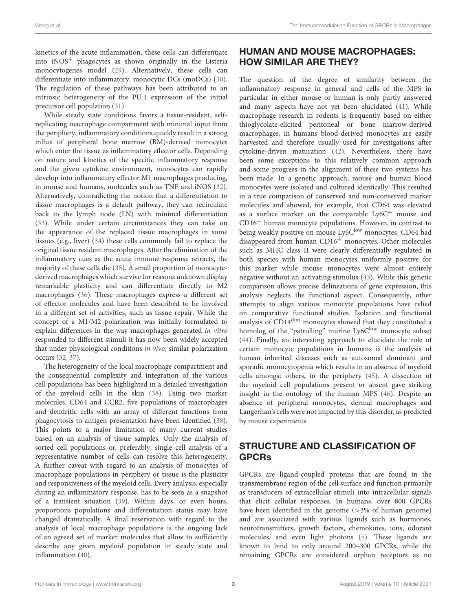kinetics of the acute inflammation, these cells can differentiate into  $iNOS<sup>+</sup>$  phagocytes as shown originally in the Listeria monocytogenes model [\(29\)](#page-9-28). Alternatively, these cells can differentiate into inflammatory, monocytic DCs (moDCs) [\(30\)](#page-10-0). The regulation of these pathways has been attributed to an intrinsic heterogeneity of the PU.1 expression of the initial precursor cell population [\(31\)](#page-10-1).

While steady state conditions favors a tissue-resident, selfreplicating macrophage compartment with minimal input from the periphery, inflammatory conditions quickly result in a strong influx of peripheral bone marrow (BM)-derived monocytes which enter the tissue as inflammatory effector cells. Depending on nature and kinetics of the specific inflammatory response and the given cytokine environment, monocytes can rapidly develop into inflammatory effector M1 macrophages producing, in mouse and humans, molecules such as TNF and iNOS [\(32\)](#page-10-2). Alternatively, contradicting the notion that a differentiation to tissue macrophages is a default pathway, they can recirculate back to the lymph node (LN) with minimal differentiation [\(33\)](#page-10-3). While under certain circumstances they can take on the appearance of the replaced tissue macrophages in some tissues (e.g., liver) [\(34\)](#page-10-4) these cells commonly fail to replace the original tissue resident macrophages. After the elimination of the inflammatory cues as the acute immune response retracts, the majority of these cells die [\(35\)](#page-10-5). A small proportion of monocytederived macrophages which survive for reasons unknown display remarkable plasticity and can differentiate directly to M2 macrophages [\(36\)](#page-10-6). These macrophages express a different set of effector molecules and have been described to be involved in a different set of activities, such as tissue repair. While the concept of a M1/M2 polarization was initially formulated to explain differences in the way macrophages generated in vitro responded to different stimuli it has now been widely accepted that under physiological conditions in vivo, similar polarization occurs [\(32,](#page-10-2) [37\)](#page-10-7).

The heterogeneity of the local macrophage compartment and the consequential complexity and integration of the various cell populations has been highlighted in a detailed investigation of the myeloid cells in the skin [\(38\)](#page-10-8). Using two marker molecules, CD64 and CCR2, five populations of macrophages and dendritic cells with an array of different functions from phagocytosis to antigen presentation have been identified [\(38\)](#page-10-8). This points to a major limitation of many current studies based on an analysis of tissue samples. Only the analysis of sorted cell populations or, preferably, single cell analysis of a representative number of cells can resolve this heterogeneity. A further caveat with regard to an analysis of monocytes of macrophage populations in periphery or tissue is the plasticity and responsiveness of the myeloid cells. Every analysis, especially during an inflammatory response, has to be seen as a snapshot of a transient situation [\(39\)](#page-10-9). Within days, or even hours, proportions populations and differentiation status may have changed dramatically. A final reservation with regard to the analysis of local macrophage populations is the ongoing lack of an agreed set of marker molecules that allow to sufficiently describe any given myeloid population in steady state and inflammation [\(40\)](#page-10-10).

# HUMAN AND MOUSE MACROPHAGES: HOW SIMILAR ARE THEY?

The question of the degree of similarity between the inflammatory response in general and cells of the MPS in particular in either mouse or human is only partly answered and many aspects have not yet been elucidated [\(41\)](#page-10-11). While macrophage research in rodents is frequently based on either thioglycolate-elicited peritoneal or bone marrow-derived macrophages, in humans blood-derived monocytes are easily harvested and therefore usually used for investigations after cytokine-driven maturation [\(42\)](#page-10-12). Nevertheless, there have been some exceptions to this relatively common approach and some progress in the alignment of these two systems has been made. In a genetic approach, mouse and human blood monocytes were isolated and cultured identically. This resulted in a true comparison of conserved and non-conserved marker molecules and showed, for example, that CD64 was elevated as a surface marker on the comparable Ly6C<sup>+</sup> mouse and CD16<sup>−</sup> human monocyte populations. However, in contrast to being weakly positive on mouse Ly6Clow monocytes, CD64 had disappeared from human CD16<sup>+</sup> monocytes. Other molecules such as MHC class II were clearly differentially regulated in both species with human monocytes uniformly positive for this marker while mouse monocytes were almost entirely negative without an activating stimulus [\(43\)](#page-10-13). While this genetic comparison allows precise delineations of gene expression, this analysis neglects the functional aspect. Consequently, other attempts to align various monocyte populations have relied on comparative functional studies. Isolation and functional analysis of CD14dim monocytes showed that they constituted a homolog of the "patrolling" murine Ly6Clow monocyte subset [\(44\)](#page-10-14). Finally, an interesting approach to elucidate the role of certain monocyte populations in humans is the analysis of human inherited diseases such as autosomal dominant and sporadic monocytopenia which results in an absence of myeloid cells amongst others, in the periphery [\(45\)](#page-10-15). A dissection of the myeloid cell populations present or absent gave striking insight in the ontology of the human MPS [\(46\)](#page-10-16). Despite an absence of peripheral monocytes, dermal macrophages and Langerhan's cells were not impacted by this disorder, as predicted by mouse experiments.

# STRUCTURE AND CLASSIFICATION OF GPCRs

GPCRs are ligand-coupled proteins that are found in the transmembrane region of the cell surface and function primarily as transducers of extracellular stimuli into intracellular signals that elicit cellular responses. In humans, over 800 GPCRs have been identified in the genome (>3% of human genome) and are associated with various ligands such as hormones, neurotransmitters, growth factors, chemokines, ions, odorant molecules, and even light photons [\(5\)](#page-9-4). These ligands are known to bind to only around 200–300 GPCRs, while the remaining GPCRs are considered orphan receptors as no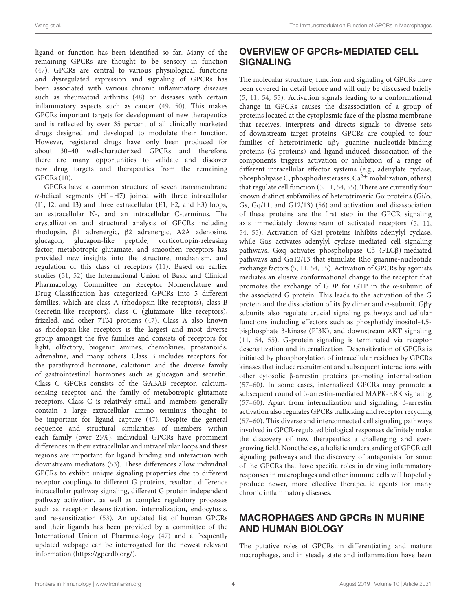ligand or function has been identified so far. Many of the remaining GPCRs are thought to be sensory in function [\(47\)](#page-10-17). GPCRs are central to various physiological functions and dysregulated expression and signaling of GPCRs has been associated with various chronic inflammatory diseases such as rheumatoid arthritis [\(48\)](#page-10-18) or diseases with certain inflammatory aspects such as cancer [\(49,](#page-10-19) [50\)](#page-10-20). This makes GPCRs important targets for development of new therapeutics and is reflected by over 35 percent of all clinically marketed drugs designed and developed to modulate their function. However, registered drugs have only been produced for about 30–40 well-characterized GPCRs and therefore, there are many opportunities to validate and discover new drug targets and therapeutics from the remaining GPCRs [\(10\)](#page-9-9).

GPCRs have a common structure of seven transmembrane α-helical segments (H1–H7) joined with three intracellular (I1, I2, and I3) and three extracellular (E1, E2, and E3) loops, an extracellular N-, and an intracellular C-terminus. The crystallization and structural analysis of GPCRs including rhodopsin, β1 adrenergic, β2 adrenergic, A2A adenosine, glucagon, glucagon-like peptide, corticotropin-releasing factor, metabotropic glutamate, and smoothen receptors has provided new insights into the structure, mechanism, and regulation of this class of receptors [\(11\)](#page-9-10). Based on earlier studies [\(51,](#page-10-21) [52\)](#page-10-22) the International Union of Basic and Clinical Pharmacology Committee on Receptor Nomenclature and Drug Classification has categorized GPCRs into 5 different families, which are class A (rhodopsin-like receptors), class B (secretin-like receptors), class C (glutamate- like receptors), frizzled, and other 7TM protiens [\(47\)](#page-10-17). Class A also known as rhodopsin-like receptors is the largest and most diverse group amongst the five families and consists of receptors for light, olfactory, biogenic amines, chemokines, prostanoids, adrenaline, and many others. Class B includes receptors for the parathyroid hormone, calcitonin and the diverse family of gastrointestinal hormones such as glucagon and secretin. Class C GPCRs consists of the GABAB receptor, calciumsensing receptor and the family of metabotropic glutamate receptors. Class C is relatively small and members generally contain a large extracellular amino terminus thought to be important for ligand capture [\(47\)](#page-10-17). Despite the general sequence and structural similarities of members within each family (over 25%), individual GPCRs have prominent differences in their extracellular and intracellular loops and these regions are important for ligand binding and interaction with downstream mediators [\(53\)](#page-10-23). These differences allow individual GPCRs to exhibit unique signaling properties due to different receptor couplings to different G proteins, resultant difference intracellular pathway signaling, different G protein independent pathway activation, as well as complex regulatory processes such as receptor desensitization, internalization, endocytosis, and re-sensitization [\(53\)](#page-10-23). An updated list of human GPCRs and their ligands has been provided by a committee of the International Union of Pharmacology [\(47\)](#page-10-17) and a frequently updated webpage can be interrogated for the newest relevant information [\(https://gpcrdb.org/\)](https://gpcrdb.org/).

# OVERVIEW OF GPCRs-MEDIATED CELL SIGNALING

The molecular structure, function and signaling of GPCRs have been covered in detail before and will only be discussed briefly [\(5,](#page-9-4) [11,](#page-9-10) [54,](#page-10-24) [55\)](#page-10-25). Activation signals leading to a conformational change in GPCRs causes the disassociation of a group of proteins located at the cytoplasmic face of the plasma membrane that receives, interprets and directs signals to diverse sets of downstream target proteins. GPCRs are coupled to four families of heterotrimeric αβγ guanine nucleotide-binding proteins (G proteins) and ligand-induced dissociation of the components triggers activation or inhibition of a range of different intracellular effector systems (e.g., adenylate cyclase, phospholipase C, phosphodiesterases,  $Ca^{2+}$  mobilization, others) that regulate cell function [\(5,](#page-9-4) [11,](#page-9-10) [54,](#page-10-24) [55\)](#page-10-25). There are currently four known distinct subfamilies of heterotrimeric Gα proteins (Gi/o, Gs, Gq/11, and G12/13) [\(56\)](#page-10-26) and activation and disassociation of these proteins are the first step in the GPCR signaling axis immediately downstream of activated receptors [\(5,](#page-9-4) [11,](#page-9-10) [54,](#page-10-24) [55\)](#page-10-25). Activation of Gαi proteins inhibits adenylyl cyclase, while Gαs activates adenylyl cyclase mediated cell signaling pathways. Gαq activates phospholipase Cβ (PLCβ)-mediated pathways and Gα12/13 that stimulate Rho guanine-nucleotide exchange factors [\(5,](#page-9-4) [11,](#page-9-10) [54,](#page-10-24) [55\)](#page-10-25). Activation of GPCRs by agonists mediates an elusive conformational change to the receptor that promotes the exchange of GDP for GTP in the α-subunit of the associated G protein. This leads to the activation of the G protein and the dissociation of its βγ dimer and α-subunit. Gβγ subunits also regulate crucial signaling pathways and cellular functions including effectors such as phosphatidylinositol-4,5 bisphosphate 3-kinase (PI3K), and downstream AKT signaling [\(11,](#page-9-10) [54,](#page-10-24) [55\)](#page-10-25). G-protein signaling is terminated via receptor desensitization and internalization. Desensitization of GPCRs is initiated by phosphorylation of intracellular residues by GPCRs kinases that induce recruitment and subsequent interactions with other cytosolic β-arrestin proteins promoting internalization [\(57](#page-10-27)[–60\)](#page-10-28). In some cases, internalized GPCRs may promote a subsequent round of β-arrestin-mediated MAPK-ERK signaling [\(57](#page-10-27)[–60\)](#page-10-28). Apart from internalization and signaling, β-arrestin activation also regulates GPCRs trafficking and receptor recycling [\(57](#page-10-27)[–60\)](#page-10-28). This diverse and interconnected cell signaling pathways involved in GPCR-regulated biological responses definitely make the discovery of new therapeutics a challenging and evergrowing field. Nonetheless, a holistic understanding of GPCR cell signaling pathways and the discovery of antagonists for some of the GPCRs that have specific roles in driving inflammatory responses in macrophages and other immune cells will hopefully produce newer, more effective therapeutic agents for many chronic inflammatory diseases.

# MACROPHAGES AND GPCRs IN MURINE AND HUMAN BIOLOGY

The putative roles of GPCRs in differentiating and mature macrophages, and in steady state and inflammation have been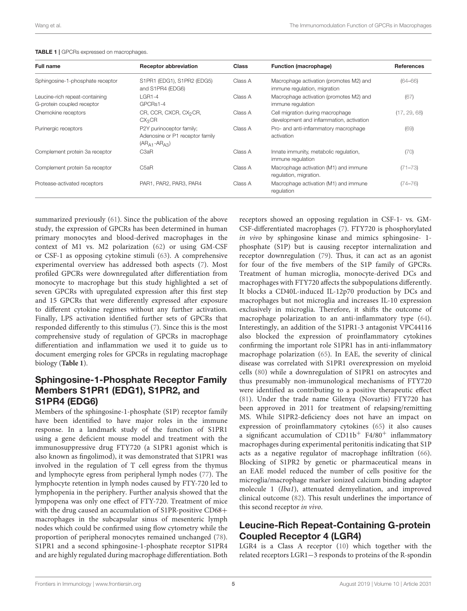| <b>Full name</b>                                             | <b>Receptor abbreviation</b>                                                 | <b>Class</b> | <b>Function (macrophage)</b>                                                 | <b>References</b> |
|--------------------------------------------------------------|------------------------------------------------------------------------------|--------------|------------------------------------------------------------------------------|-------------------|
| Sphingosine-1-phosphate receptor                             | S1PR1 (EDG1), S1PR2 (EDG5)<br>and S1PR4 (EDG6)                               | Class A      | Macrophage activation (promotes M2) and<br>immune regulation, migration      | $(64 - 66)$       |
| Leucine-rich repeat-containing<br>G-protein coupled receptor | $L$ GR1-4<br>GPCRs1-4                                                        | Class A      | Macrophage activation (promotes M2) and<br>immune regulation                 | (67)              |
| Chemokine receptors                                          | CR, CCR, CXCR, CX <sub>2</sub> CR,<br>CX <sub>3</sub> CR                     | Class A      | Cell migration during macrophage<br>development and inflammation, activation | (17, 29, 68)      |
| Purinergic receptors                                         | P2Y purinoceptor family;<br>Adenosine or P1 receptor family<br>$(ARA1-ARA3)$ | Class A      | Pro- and anti-inflammatory macrophage<br>activation                          | (69)              |
| Complement protein 3a receptor                               | C <sub>3</sub> aR                                                            | Class A      | Innate immunity, metabolic regulation,<br>immune regulation                  | (70)              |
| Complement protein 5a receptor                               | C5aR                                                                         | Class A      | Macrophage activation (M1) and immune<br>regulation, migration.              | $(71 - 73)$       |
| Protease-activated receptors                                 | PAR1, PAR2, PAR3, PAR4                                                       | Class A      | Macrophage activation (M1) and immune<br>regulation                          | $(74 - 76)$       |

#### <span id="page-4-0"></span>TABLE 1 | GPCRs expressed on macrophages.

summarized previously [\(61\)](#page-10-33). Since the publication of the above study, the expression of GPCRs has been determined in human primary monocytes and blood-derived macrophages in the context of M1 vs. M2 polarization [\(62\)](#page-10-34) or using GM-CSF or CSF-1 as opposing cytokine stimuli [\(63\)](#page-10-35). A comprehensive experimental overview has addressed both aspects [\(7\)](#page-9-6). Most profiled GPCRs were downregulated after differentiation from monocyte to macrophage but this study highlighted a set of seven GPCRs with upregulated expression after this first step and 15 GPCRs that were differently expressed after exposure to different cytokine regimes without any further activation. Finally, LPS activation identified further sets of GPCRs that responded differently to this stimulus [\(7\)](#page-9-6). Since this is the most comprehensive study of regulation of GPCRs in macrophage differentiation and inflammation we used it to guide us to document emerging roles for GPCRs in regulating macrophage biology (**[Table 1](#page-4-0)**).

## Sphingosine-1-Phosphate Receptor Family Members S1PR1 (EDG1), S1PR2, and S1PR4 (EDG6)

Members of the sphingosine-1-phosphate (S1P) receptor family have been identified to have major roles in the immune response. In a landmark study of the function of S1PR1 using a gene deficient mouse model and treatment with the immunosuppressive drug FTY720 (a S1PR1 agonist which is also known as fingolimod), it was demonstrated that S1PR1 was involved in the regulation of T cell egress from the thymus and lymphocyte egress from peripheral lymph nodes [\(77\)](#page-11-6). The lymphocyte retention in lymph nodes caused by FTY-720 led to lymphopenia in the periphery. Further analysis showed that the lympopena was only one effect of FTY-720. Treatment of mice with the drug caused an accumulation of S1PR-positive CD68+ macrophages in the subcapsular sinus of mesenteric lymph nodes which could be confirmed using flow cytometry while the proportion of peripheral monocytes remained unchanged [\(78\)](#page-11-7). S1PR1 and a second sphingosine-1-phosphate receptor S1PR4 and are highly regulated during macrophage differentiation. Both

receptors showed an opposing regulation in CSF-1- vs. GM-CSF-differentiated macrophages [\(7\)](#page-9-6). FTY720 is phosphorylated in vivo by sphingosine kinase and mimics sphingosine- 1 phosphate (S1P) but is causing receptor internalization and receptor downregulation [\(79\)](#page-11-8). Thus, it can act as an agonist for four of the five members of the S1P family of GPCRs. Treatment of human microglia, monocyte-derived DCs and macrophages with FTY720 affects the subpopulations differently. It blocks a CD40L-induced IL-12p70 production by DCs and macrophages but not microglia and increases IL-10 expression exclusively in microglia. Therefore, it shifts the outcome of macrophage polarization to an anti-inflammatory type [\(64\)](#page-10-29). Interestingly, an addition of the S1PR1-3 antagonist VPC44116 also blocked the expression of proinflammatory cytokines confirming the important role S1PR1 has in anti-inflammatory macrophage polarization [\(65\)](#page-10-36). In EAE, the severity of clinical disease was correlated with S1PR1 overexpression on myeloid cells [\(80\)](#page-11-9) while a downregulation of S1PR1 on astrocytes and thus presumably non-immunological mechanisms of FTY720 were identified as contributing to a positive therapeutic effect [\(81\)](#page-11-10). Under the trade name Gilenya (Novartis) FTY720 has been approved in 2011 for treatment of relapsing/remitting MS. While S1PR2-deficiency does not have an impact on expression of proinflammatory cytokines [\(65\)](#page-10-36) it also causes a significant accumulation of  $CD11b<sup>+</sup> F4/80<sup>+</sup>$  inflammatory macrophages during experimental peritonitis indicating that S1P acts as a negative regulator of macrophage infiltration [\(66\)](#page-10-30). Blocking of S1PR2 by genetic or pharmaceutical means in an EAE model reduced the number of cells positive for the microglia/macrophage marker ionized calcium binding adaptor molecule 1 (Iba1), attenuated demyelination, and improved clinical outcome [\(82\)](#page-11-11). This result underlines the importance of this second receptor in vivo.

### Leucine-Rich Repeat-Containing G-protein Coupled Receptor 4 (LGR4)

LGR4 is a Class A receptor [\(10\)](#page-9-9) which together with the related receptors LGR1−3 responds to proteins of the R-spondin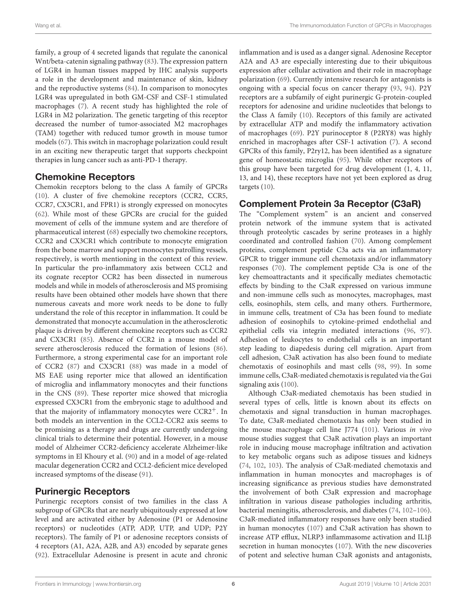family, a group of 4 secreted ligands that regulate the canonical Wnt/beta-catenin signaling pathway [\(83\)](#page-11-12). The expression pattern of LGR4 in human tissues mapped by IHC analysis supports a role in the development and maintenance of skin, kidney and the reproductive systems [\(84\)](#page-11-13). In comparison to monocytes LGR4 was upregulated in both GM-CSF and CSF-1 stimulated macrophages [\(7\)](#page-9-6). A recent study has highlighted the role of LGR4 in M2 polarization. The genetic targeting of this receptor decreased the number of tumor-associated M2 macrophages (TAM) together with reduced tumor growth in mouse tumor models [\(67\)](#page-10-31). This switch in macrophage polarization could result in an exciting new therapeutic target that supports checkpoint therapies in lung cancer such as anti-PD-1 therapy.

### Chemokine Receptors

Chemokin receptors belong to the class A family of GPCRs [\(10\)](#page-9-9). A cluster of five chemokine receptors (CCR2, CCR5, CCR7, CX3CR1, and FPR1) is strongly expressed on monocytes [\(62\)](#page-10-34). While most of these GPCRs are crucial for the guided movement of cells of the immune system and are therefore of pharmaceutical interest [\(68\)](#page-10-32) especially two chemokine receptors, CCR2 and CX3CR1 which contribute to monocyte emigration from the bone marrow and support monocytes patrolling vessels, respectively, is worth mentioning in the context of this review. In particular the pro-inflammatory axis between CCL2 and its cognate receptor CCR2 has been dissected in numerous models and while in models of atherosclerosis and MS promising results have been obtained other models have shown that there numerous caveats and more work needs to be done to fully understand the role of this receptor in inflammation. It could be demonstrated that monocyte accumulation in the atherosclerotic plaque is driven by different chemokine receptors such as CCR2 and CX3CR1 [\(85\)](#page-11-14). Absence of CCR2 in a mouse model of severe atherosclerosis reduced the formation of lesions [\(86\)](#page-11-15). Furthermore, a strong experimental case for an important role of CCR2 [\(87\)](#page-11-16) and CX3CR1 [\(88\)](#page-11-17) was made in a model of MS EAE using reporter mice that allowed an identification of microglia and inflammatory monocytes and their functions in the CNS [\(89\)](#page-11-18). These reporter mice showed that microglia expressed CX3CR1 from the embryonic stage to adulthood and that the majority of inflammatory monocytes were CCR2+. In both models an intervention in the CCL2-CCR2 axis seems to be promising as a therapy and drugs are currently undergoing clinical trials to determine their potential. However, in a mouse model of Alzheimer CCR2-deficiency accelerate Alzheimer-like symptoms in El Khoury et al. [\(90\)](#page-11-19) and in a model of age-related macular degeneration CCR2 and CCL2-deficient mice developed increased symptoms of the disease [\(91\)](#page-11-20).

# Purinergic Receptors

Purinergic receptors consist of two families in the class A subgroup of GPCRs that are nearly ubiquitously expressed at low level and are activated either by Adenosine (P1 or Adenosine receptors) or nucleotides (ATP, ADP, UTP, and UDP; P2Y receptors). The family of P1 or adenosine receptors consists of 4 receptors (A1, A2A, A2B, and A3) encoded by separate genes [\(92\)](#page-11-21). Extracellular Adenosine is present in acute and chronic inflammation and is used as a danger signal. Adenosine Receptor A2A and A3 are especially interesting due to their ubiquitous expression after cellular activation and their role in macrophage polarization [\(69\)](#page-11-0). Currently intensive research for antagonists is ongoing with a special focus on cancer therapy [\(93,](#page-11-22) [94\)](#page-11-23). P2Y receptors are a subfamily of eight purinergic G-protein-coupled receptors for adenosine and uridine nucleotides that belongs to the Class A family [\(10\)](#page-9-9). Receptors of this family are activated by extracellular ATP and modify the inflammatory activation of macrophages [\(69\)](#page-11-0). P2Y purinoceptor 8 (P2RY8) was highly enriched in macrophages after CSF-1 activation [\(7\)](#page-9-6). A second GPCRs of this family, P2ry12, has been identified as a signature gene of homeostatic microglia [\(95\)](#page-11-24). While other receptors of this group have been targeted for drug development (1, 4, 11, 13, and 14), these receptors have not yet been explored as drug targets [\(10\)](#page-9-9).

### Complement Protein 3a Receptor (C3aR)

The "Complement system" is an ancient and conserved protein network of the immune system that is activated through proteolytic cascades by serine proteases in a highly coordinated and controlled fashion [\(70\)](#page-11-1). Among complement proteins, complement peptide C3a acts via an inflammatory GPCR to trigger immune cell chemotaxis and/or inflammatory responses [\(70\)](#page-11-1). The complement peptide C3a is one of the key chemoattractants and it specifically mediates chemotactic effects by binding to the C3aR expressed on various immune and non-immune cells such as monocytes, macrophages, mast cells, eosinophils, stem cells, and many others. Furthermore, in immune cells, treatment of C3a has been found to mediate adhesion of eosinophils to cytokine-primed endothelial and epithelial cells via integrin mediated interactions [\(96,](#page-11-25) [97\)](#page-11-26). Adhesion of leukocytes to endothelial cells is an important step leading to diapedesis during cell migration. Apart from cell adhesion, C3aR activation has also been found to mediate chemotaxis of eosinophils and mast cells [\(98,](#page-11-27) [99\)](#page-11-28). In some immune cells, C3aR-mediated chemotaxis is regulated via the Gαi signaling axis [\(100\)](#page-11-29).

Although C3aR-mediated chemotaxis has been studied in several types of cells, little is known about its effects on chemotaxis and signal transduction in human macrophages. To date, C3aR-mediated chemotaxis has only been studied in the mouse macrophage cell line J774 [\(101\)](#page-11-30). Various in vivo mouse studies suggest that C3aR activation plays an important role in inducing mouse macrophage infiltration and activation to key metabolic organs such as adipose tissues and kidneys [\(74,](#page-11-4) [102,](#page-11-31) [103\)](#page-11-32). The analysis of C3aR-mediated chemotaxis and inflammation in human monocytes and macrophages is of increasing significance as previous studies have demonstrated the involvement of both C3aR expression and macrophage infiltration in various disease pathologies including arthritis, bacterial meningitis, atherosclerosis, and diabetes [\(74,](#page-11-4) [102](#page-11-31)[–106\)](#page-11-33). C3aR-mediated inflammatory responses have only been studied in human monocytes [\(107\)](#page-12-0) and C3aR activation has shown to increase ATP efflux, NLRP3 inflammasome activation and IL1β secretion in human monocytes [\(107\)](#page-12-0). With the new discoveries of potent and selective human C3aR agonists and antagonists,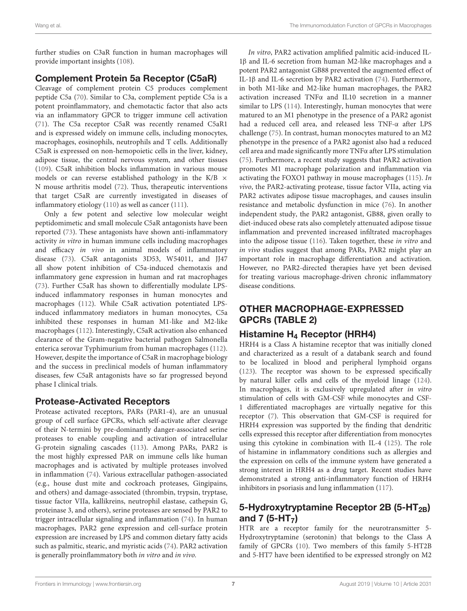further studies on C3aR function in human macrophages will provide important insights [\(108\)](#page-12-1).

# Complement Protein 5a Receptor (C5aR)

Cleavage of complement protein C5 produces complement peptide C5a [\(70\)](#page-11-1). Similar to C3a, complement peptide C5a is a potent proinflammatory, and chemotactic factor that also acts via an inflammatory GPCR to trigger immune cell activation [\(71\)](#page-11-2). The C5a receptor C5aR was recently renamed C5aR1 and is expressed widely on immune cells, including monocytes, macrophages, eosinophils, neutrophils and T cells. Additionally C5aR is expressed on non-hemopoietic cells in the liver, kidney, adipose tissue, the central nervous system, and other tissues [\(109\)](#page-12-2). C5aR inhibition blocks inflammation in various mouse models or can reverse established pathology in the K/B  $\times$ N mouse arthritis model [\(72\)](#page-11-34). Thus, therapeutic interventions that target C5aR are currently investigated in diseases of inflammatory etiology [\(110\)](#page-12-3) as well as cancer [\(111\)](#page-12-4).

Only a few potent and selective low molecular weight peptidomimetic and small molecule C5aR antagonists have been reported [\(73\)](#page-11-3). These antagonists have shown anti-inflammatory activity in vitro in human immune cells including macrophages and efficacy in vivo in animal models of inflammatory disease [\(73\)](#page-11-3). C5aR antagonists 3D53, W54011, and JJ47 all show potent inhibition of C5a-induced chemotaxis and inflammatory gene expression in human and rat macrophages [\(73\)](#page-11-3). Further C5aR has shown to differentially modulate LPSinduced inflammatory responses in human monocytes and macrophages [\(112\)](#page-12-5). While C5aR activation potentiated LPSinduced inflammatory mediators in human monocytes, C5a inhibited these responses in human M1-like and M2-like macrophages [\(112\)](#page-12-5). Interestingly, C5aR activation also enhanced clearance of the Gram-negative bacterial pathogen Salmonella enterica serovar Typhimurium from human macrophages [\(112\)](#page-12-5). However, despite the importance of C5aR in macrophage biology and the success in preclinical models of human inflammatory diseases, few C5aR antagonists have so far progressed beyond phase I clinical trials.

# Protease-Activated Receptors

Protease activated receptors, PARs (PAR1-4), are an unusual group of cell surface GPCRs, which self-activate after cleavage of their N-termini by pre-dominantly danger-associated serine proteases to enable coupling and activation of intracellular G-protein signaling cascades [\(113\)](#page-12-6). Among PARs, PAR2 is the most highly expressed PAR on immune cells like human macrophages and is activated by multiple proteases involved in inflammation [\(74\)](#page-11-4). Various extracellular pathogen-associated (e.g., house dust mite and cockroach proteases, Gingipains, and others) and damage-associated (thrombin, trypsin, tryptase, tissue factor VIIa, kallikreins, neutrophil elastase, cathepsin G, proteinase 3, and others), serine proteases are sensed by PAR2 to trigger intracellular signaling and inflammation [\(74\)](#page-11-4). In human macrophages, PAR2 gene expression and cell-surface protein expression are increased by LPS and common dietary fatty acids such as palmitic, stearic, and myristic acids [\(74\)](#page-11-4). PAR2 activation is generally proinflammatory both in vitro and in vivo.

In vitro, PAR2 activation amplified palmitic acid-induced IL-1β and IL-6 secretion from human M2-like macrophages and a potent PAR2 antagonist GB88 prevented the augmented effect of IL-1β and IL-6 secretion by PAR2 activation [\(74\)](#page-11-4). Furthermore, in both M1-like and M2-like human macrophages, the PAR2 activation increased TNFα and IL10 secretion in a manner similar to LPS [\(114\)](#page-12-7). Interestingly, human monocytes that were matured to an M1 phenotype in the presence of a PAR2 agonist had a reduced cell area, and released less TNF-α after LPS challenge [\(75\)](#page-11-35). In contrast, human monocytes matured to an M2 phenotype in the presence of a PAR2 agonist also had a reduced cell area and made significantly more TNFα after LPS stimulation [\(75\)](#page-11-35). Furthermore, a recent study suggests that PAR2 activation promotes M1 macrophage polarization and inflammation via activating the FOXO1 pathway in mouse macrophages [\(115\)](#page-12-8). In vivo, the PAR2-activating protease, tissue factor VIIa, acting via PAR2 activates adipose tissue macrophages, and causes insulin resistance and metabolic dysfunction in mice [\(76\)](#page-11-5). In another independent study, the PAR2 antagonist, GB88, given orally to diet-induced obese rats also completely attenuated adipose tissue inflammation and prevented increased infiltrated macrophages into the adipose tissue [\(116\)](#page-12-9). Taken together, these in vitro and in vivo studies suggest that among PARs, PAR2 might play an important role in macrophage differentiation and activation. However, no PAR2-directed therapies have yet been devised for treating various macrophage-driven chronic inflammatory disease conditions.

# OTHER MACROPHAGE-EXPRESSED GPCRs [\(TABLE 2\)](#page-7-0)

# Histamine H<sub>4</sub> Receptor (HRH4)

HRH4 is a Class A histamine receptor that was initially cloned and characterized as a result of a databank search and found to be localized in blood and peripheral lymphoid organs [\(123\)](#page-12-10). The receptor was shown to be expressed specifically by natural killer cells and cells of the myeloid linage [\(124\)](#page-12-11). In macrophages, it is exclusively upregulated after in vitro stimulation of cells with GM-CSF while monocytes and CSF-1 differentiated macrophages are virtually negative for this receptor [\(7\)](#page-9-6). This observation that GM-CSF is required for HRH4 expression was supported by the finding that dendritic cells expressed this receptor after differentiation from monocytes using this cytokine in combination with IL-4 [\(125\)](#page-12-12). The role of histamine in inflammatory conditions such as allergies and the expression on cells of the immune system have generated a strong interest in HRH4 as a drug target. Recent studies have demonstrated a strong anti-inflammatory function of HRH4 inhibitors in psoriasis and lung inflammation [\(117\)](#page-12-13).

# 5-Hydroxytryptamine Receptor 2B (5-HT<sub>2B</sub>) and 7  $(5-HT_7)$

HTR are a receptor family for the neurotransmitter 5- Hydroxytryptamine (serotonin) that belongs to the Class A family of GPCRs [\(10\)](#page-9-9). Two members of this family 5-HT2B and 5-HT7 have been identified to be expressed strongly on M2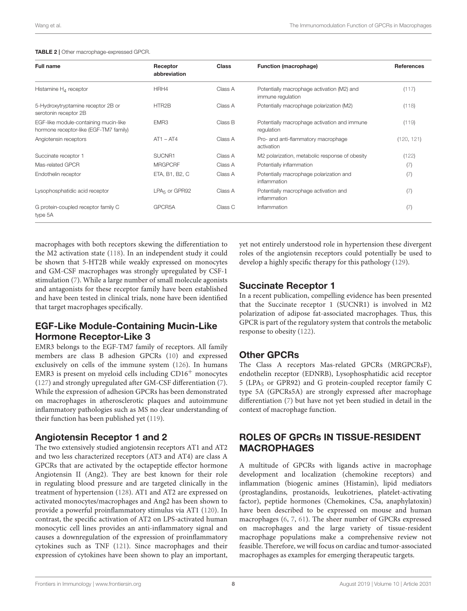#### <span id="page-7-0"></span>TABLE 2 | Other macrophage-expressed GPCR.

| <b>Full name</b>                                                                | Receptor<br>abbreviation  | <b>Class</b> | Function (macrophage)                                           | <b>References</b> |
|---------------------------------------------------------------------------------|---------------------------|--------------|-----------------------------------------------------------------|-------------------|
| Histamine $H_A$ receptor                                                        | HRH4                      | Class A      | Potentially macrophage activation (M2) and<br>immune regulation | (117)             |
| 5-Hydroxytryptamine receptor 2B or<br>serotonin receptor 2B                     | HTR2B                     | Class A      | Potentially macrophage polarization (M2)                        | (118)             |
| EGF-like module-containing mucin-like<br>hormone receptor-like (EGF-TM7 family) | EMR <sub>3</sub>          | Class B      | Potentially macrophage activation and immune<br>regulation      | (119)             |
| Angiotensin receptors                                                           | $AT1 - AT4$               | Class A      | Pro- and anti-flammatory macrophage<br>activation               | (120, 121)        |
| Succinate receptor 1                                                            | SUCNR1                    | Class A      | M2 polarization, metabolic response of obesity                  | (122)             |
| Mas-related GPCR                                                                | <b>MRGPCRF</b>            | Class A      | Potentially inflammation                                        | (7)               |
| Endothelin receptor                                                             | ETA, B1, B2, C            | Class A      | Potentially macrophage polarization and<br>inflammation         | (7)               |
| Lysophosphatidic acid receptor                                                  | LPA <sub>5</sub> or GPR92 | Class A      | Potentially macrophage activation and<br>inflammation           | (7)               |
| G protein-coupled receptor family C<br>type 5A                                  | GPCR5A                    | Class C      | Inflammation                                                    | (7)               |

macrophages with both receptors skewing the differentiation to the M2 activation state [\(118\)](#page-12-14). In an independent study it could be shown that 5-HT2B while weakly expressed on monocytes and GM-CSF macrophages was strongly upregulated by CSF-1 stimulation [\(7\)](#page-9-6). While a large number of small molecule agonists and antagonists for these receptor family have been established and have been tested in clinical trials, none have been identified that target macrophages specifically.

# EGF-Like Module-Containing Mucin-Like Hormone Receptor-Like 3

EMR3 belongs to the EGF-TM7 family of receptors. All family members are class B adhesion GPCRs [\(10\)](#page-9-9) and expressed exclusively on cells of the immune system [\(126\)](#page-12-19). In humans EMR3 is present on myeloid cells including CD16<sup>+</sup> monocytes [\(127\)](#page-12-20) and strongly upregulated after GM-CSF differentiation [\(7\)](#page-9-6). While the expression of adhesion GPCRs has been demonstrated on macrophages in atherosclerotic plaques and autoimmune inflammatory pathologies such as MS no clear understanding of their function has been published yet [\(119\)](#page-12-15).

### Angiotensin Receptor 1 and 2

The two extensively studied angiotensin receptors AT1 and AT2 and two less characterized receptors (AT3 and AT4) are class A GPCRs that are activated by the octapeptide effector hormone Angiotensin II (Ang2). They are best known for their role in regulating blood pressure and are targeted clinically in the treatment of hypertension [\(128\)](#page-12-21). AT1 and AT2 are expressed on activated monocytes/macrophages and Ang2 has been shown to provide a powerful proinflammatory stimulus via AT1 [\(120\)](#page-12-16). In contrast, the specific activation of AT2 on LPS-activated human monocytic cell lines provides an anti-inflammatory signal and causes a downregulation of the expression of proinflammatory cytokines such as TNF [\(121\)](#page-12-17). Since macrophages and their expression of cytokines have been shown to play an important, yet not entirely understood role in hypertension these divergent roles of the angiotensin receptors could potentially be used to develop a highly specific therapy for this pathology [\(129\)](#page-12-22).

### Succinate Receptor 1

In a recent publication, compelling evidence has been presented that the Succinate receptor 1 (SUCNR1) is involved in M2 polarization of adipose fat-associated macrophages. Thus, this GPCR is part of the regulatory system that controls the metabolic response to obesity [\(122\)](#page-12-18).

### Other GPCRs

The Class A receptors Mas-related GPCRs (MRGPCRsF), endothelin receptor (EDNRB), Lysophosphatidic acid receptor 5 (LPA<sup>5</sup> or GPR92) and G protein-coupled receptor family C type 5A (GPCRs5A) are strongly expressed after macrophage differentiation [\(7\)](#page-9-6) but have not yet been studied in detail in the context of macrophage function.

### ROLES OF GPCRs IN TISSUE-RESIDENT MACROPHAGES

A multitude of GPCRs with ligands active in macrophage development and localization (chemokine receptors) and inflammation (biogenic amines (Histamin), lipid mediators (prostaglandins, prostanoids, leukotrienes, platelet-activating factor), peptide hormones (Chemokines, C5a, anaphylatoxin) have been described to be expressed on mouse and human macrophages [\(6,](#page-9-5) [7,](#page-9-6) [61\)](#page-10-33). The sheer number of GPCRs expressed on macrophages and the large variety of tissue-resident macrophage populations make a comprehensive review not feasible. Therefore, we will focus on cardiac and tumor-associated macrophages as examples for emerging therapeutic targets.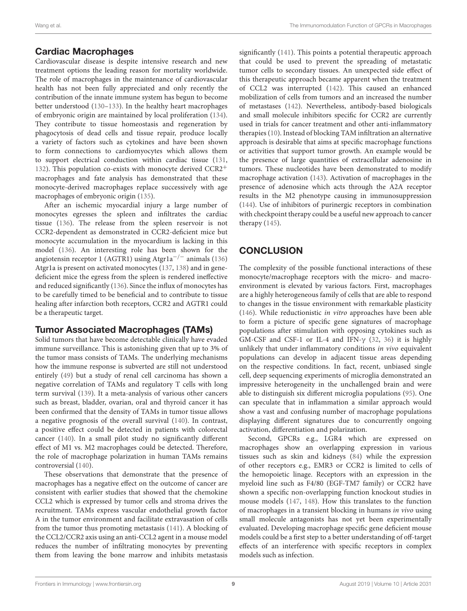# Cardiac Macrophages

Cardiovascular disease is despite intensive research and new treatment options the leading reason for mortality worldwide. The role of macrophages in the maintenance of cardiovascular health has not been fully appreciated and only recently the contribution of the innate immune system has begun to become better understood [\(130](#page-12-23)[–133\)](#page-12-24). In the healthy heart macrophages of embryonic origin are maintained by local proliferation [\(134\)](#page-12-25). They contribute to tissue homeostasis and regeneration by phagocytosis of dead cells and tissue repair, produce locally a variety of factors such as cytokines and have been shown to form connections to cardiomyocytes which allows them to support electrical conduction within cardiac tissue [\(131,](#page-12-26) [132\)](#page-12-27). This population co-exists with monocyte derived CCR2<sup>+</sup> macrophages and fate analysis has demonstrated that these monocyte-derived macrophages replace successively with age macrophages of embryonic origin [\(135\)](#page-12-28).

After an ischemic myocardial injury a large number of monocytes egresses the spleen and infiltrates the cardiac tissue [\(136\)](#page-12-29). The release from the spleen reservoir is not CCR2-dependent as demonstrated in CCR2-deficient mice but monocyte accumulation in the myocardium is lacking in this model [\(136\)](#page-12-29). An interesting role has been shown for the angiotensin receptor 1 (AGTR1) using Atgr1a−/<sup>−</sup> animals [\(136\)](#page-12-29) Atgr1a is present on activated monocytes [\(137,](#page-12-30) [138\)](#page-12-31) and in genedeficient mice the egress from the spleen is rendered ineffective and reduced significantly [\(136\)](#page-12-29). Since the influx of monocytes has to be carefully timed to be beneficial and to contribute to tissue healing after infarction both receptors, CCR2 and AGTR1 could be a therapeutic target.

# Tumor Associated Macrophages (TAMs)

Solid tumors that have become detectable clinically have evaded immune surveillance. This is astonishing given that up to 3% of the tumor mass consists of TAMs. The underlying mechanisms how the immune response is subverted are still not understood entirely [\(49\)](#page-10-19) but a study of renal cell carcinoma has shown a negative correlation of TAMs and regulatory T cells with long term survival [\(139\)](#page-12-32). It a meta-analysis of various other cancers such as breast, bladder, ovarian, oral and thyroid cancer it has been confirmed that the density of TAMs in tumor tissue allows a negative prognosis of the overall survival [\(140\)](#page-12-33). In contrast, a positive effect could be detected in patients with colorectal cancer [\(140\)](#page-12-33). In a small pilot study no significantly different effect of M1 vs. M2 macrophages could be detected. Therefore, the role of macrophage polarization in human TAMs remains controversial [\(140\)](#page-12-33).

These observations that demonstrate that the presence of macrophages has a negative effect on the outcome of cancer are consistent with earlier studies that showed that the chemokine CCL2 which is expressed by tumor cells and stroma drives the recruitment. TAMs express vascular endothelial growth factor A in the tumor environment and facilitate extravasation of cells from the tumor thus promoting metastasis [\(141\)](#page-12-34). A blocking of the CCL2/CCR2 axis using an anti-CCL2 agent in a mouse model reduces the number of infiltrating monocytes by preventing them from leaving the bone marrow and inhibits metastasis

significantly [\(141\)](#page-12-34). This points a potential therapeutic approach that could be used to prevent the spreading of metastatic tumor cells to secondary tissues. An unexpected side effect of this therapeutic approach became apparent when the treatment of CCL2 was interrupted [\(142\)](#page-12-35). This caused an enhanced mobilization of cells from tumors and an increased the number of metastases [\(142\)](#page-12-35). Nevertheless, antibody-based biologicals and small molecule inhibitors specific for CCR2 are currently used in trials for cancer treatment and other anti-inflammatory therapies [\(10\)](#page-9-9). Instead of blocking TAM infiltration an alternative approach is desirable that aims at specific macrophage functions or activities that support tumor growth. An example would be the presence of large quantities of extracellular adenosine in tumors. These nucleotides have been demonstrated to modify macrophage activation [\(143\)](#page-12-36). Activation of macrophages in the presence of adenosine which acts through the A2A receptor results in the M2 phenotype causing in immunosuppression [\(144\)](#page-13-0). Use of inhibitors of purinergic receptors in combination with checkpoint therapy could be a useful new approach to cancer therapy [\(145\)](#page-13-1).

# **CONCLUSION**

The complexity of the possible functional interactions of these monocyte/macrophage receptors with the micro- and macroenvironment is elevated by various factors. First, macrophages are a highly heterogeneous family of cells that are able to respond to changes in the tissue environment with remarkable plasticity [\(146\)](#page-13-2). While reductionistic in vitro approaches have been able to form a picture of specific gene signatures of macrophage populations after stimulation with opposing cytokines such as GM-CSF and CSF-1 or IL-4 and IFN-γ [\(32,](#page-10-2) [36\)](#page-10-6) it is highly unlikely that under inflammatory conditions in vivo equivalent populations can develop in adjacent tissue areas depending on the respective conditions. In fact, recent, unbiased single cell, deep sequencing experiments of microglia demonstrated an impressive heterogeneity in the unchallenged brain and were able to distinguish six different microglia populations [\(95\)](#page-11-24). One can speculate that in inflammation a similar approach would show a vast and confusing number of macrophage populations displaying different signatures due to concurrently ongoing activation, differentiation and polarization.

Second, GPCRs e.g., LGR4 which are expressed on macrophages show an overlapping expression in various tissues such as skin and kidneys [\(84\)](#page-11-13) while the expression of other receptors e.g., EMR3 or CCR2 is limited to cells of the hemopoietic linage. Receptors with an expression in the myeloid line such as F4/80 (EGF-TM7 family) or CCR2 have shown a specific non-overlapping function knockout studies in mouse models [\(147,](#page-13-3) [148\)](#page-13-4). How this translates to the function of macrophages in a transient blocking in humans in vivo using small molecule antagonists has not yet been experimentally evaluated. Developing macrophage specific gene deficient mouse models could be a first step to a better understanding of off-target effects of an interference with specific receptors in complex models such as infection.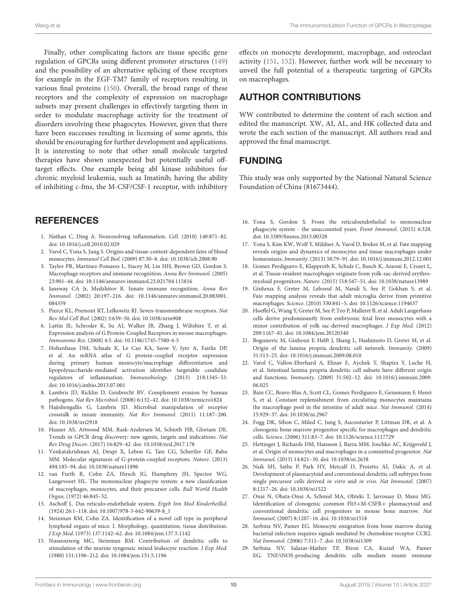Finally, other complicating factors are tissue specific gene regulation of GPCRs using different promoter structures [\(149\)](#page-13-5) and the possibility of an alternative splicing of these receptors for example in the EGF-TM7 family of receptors resulting in various final proteins [\(150\)](#page-13-6). Overall, the broad range of these receptors and the complexity of expression on macrophage subsets may present challenges in effectively targeting them in order to modulate macrophage activity for the treatment of disorders involving these phagocytes. However, given that there have been successes resulting in licensing of some agents, this should be encouraging for further development and applications. It is interesting to note that other small molecule targeted therapies have shown unexpected but potentially useful offtarget effects. One example being abl kinase inhibitors for chronic myeloid leukemia, such as Imatinib, having the ability of inhibiting c-fms, the M-CSF/CSF-1 receptor, with inhibitory

### **REFERENCES**

- <span id="page-9-0"></span>1. Nathan C, Ding A. Nonresolving inflammation. Cell. (2010) 140:871–82. doi: [10.1016/j.cell.2010.02.029](https://doi.org/10.1016/j.cell.2010.02.029)
- <span id="page-9-1"></span>2. Varol C, Yona S, Jung S. Origins and tissue-context-dependent fates of blood monocytes. Immunol Cell Biol. (2009) 87:30–8. doi: [10.1038/icb.2008.90](https://doi.org/10.1038/icb.2008.90)
- <span id="page-9-2"></span>3. Taylor PR, Martinez-Pomares L, Stacey M, Lin HH, Brown GD, Gordon S. Macrophage receptors and immune recognition. Annu Rev Immunol. (2005) 23:901–44. doi: [10.1146/annurev.immunol.23.021704.115816](https://doi.org/10.1146/annurev.immunol.23.021704.115816)
- <span id="page-9-3"></span>4. Janeway CA Jr, Medzhitov R. Innate immune recognition. Annu Rev Immunol[. \(2002\) 20:197–216. doi: 10.1146/annurev.immunol.20.083001.](https://doi.org/10.1146/annurev.immunol.20.083001.084359) 084359
- <span id="page-9-4"></span>5. Pierce KL, Premont RT, Lefkowitz RJ. Seven-transmembrane receptors. Nat Rev Mol Cell Biol. (2002) 3:639–50. doi: [10.1038/nrm908](https://doi.org/10.1038/nrm908)
- <span id="page-9-5"></span>6. Lattin JE, Schroder K, Su AI, Walker JR, Zhang J, Wiltshire T, et al. Expression analysis of G Protein-Coupled Receptors in mouse macrophages. Immunome Res. (2008) 4:5. doi: [10.1186/1745-7580-4-5](https://doi.org/10.1186/1745-7580-4-5)
- <span id="page-9-6"></span>7. Hohenhaus DM, Schaale K, Le Cao KA, Seow V, Iyer A, Fairlie DP, et al. An mRNA atlas of G protein-coupled receptor expression during primary human monocyte/macrophage differentiation and lipopolysaccharide-mediated activation identifies targetable candidate regulators of inflammation. Immunobiology. (2013) 218:1345–53. doi: [10.1016/j.imbio.2013.07.001](https://doi.org/10.1016/j.imbio.2013.07.001)
- <span id="page-9-7"></span>8. Lambris JD, Ricklin D, Geisbrecht BV. Complement evasion by human pathogens. Nat Rev Microbiol. (2008) 6:132–42. doi: [10.1038/nrmicro1824](https://doi.org/10.1038/nrmicro1824)
- <span id="page-9-8"></span>9. Hajishengallis G, Lambris JD. Microbial manipulation of receptor crosstalk in innate immunity. Nat Rev Immunol. (2011) 11:187–200. doi: [10.1038/nri2918](https://doi.org/10.1038/nri2918)
- <span id="page-9-9"></span>10. Hauser AS, Attwood MM, Rask-Andersen M, Schioth HB, Gloriam DE. Trends in GPCR drug discovery: new agents, targets and indications. Nat Rev Drug Discov. (2017) 16:829–42. doi: [10.1038/nrd.2017.178](https://doi.org/10.1038/nrd.2017.178)
- <span id="page-9-10"></span>11. Venkatakrishnan AJ, Deupi X, Lebon G, Tate CG, Schertler GF, Babu MM. Molecular signatures of G-protein-coupled receptors. Nature. (2013) 494:185–94. doi: [10.1038/nature11896](https://doi.org/10.1038/nature11896)
- <span id="page-9-11"></span>12. van Furth R, Cohn ZA, Hirsch JG, Humphrey JH, Spector WG, Langevoort HL. The mononuclear phagocyte system: a new classification of macrophages, monocytes, and their precursor cells. Bull World Health Organ. (1972) 46:845–52.
- <span id="page-9-12"></span>13. Aschoff L. Das reticulo-endotheliale system. Ergeb Inn Med Kinderheilkd. (1924) 26:1–118. doi: [10.1007/978-3-642-90639-8\\_1](https://doi.org/10.1007/978-3-642-90639-8_1)
- <span id="page-9-13"></span>14. Steinman RM, Cohn ZA. Identification of a novel cell type in peripheral lymphoid organs of mice. I. Morphology, quantitation, tissue distribution. J Exp Med. (1973) 137:1142–62. doi: [10.1084/jem.137.5.1142](https://doi.org/10.1084/jem.137.5.1142)
- <span id="page-9-14"></span>15. Nussenzweig MC, Steinman RM. Contribution of dendritic cells to stimulation of the murine syngeneic mixed leukocyte reaction. J Exp Med. (1980) 151:1196–212. doi: [10.1084/jem.151.5.1196](https://doi.org/10.1084/jem.151.5.1196)

effects on monocyte development, macrophage, and osteoclast activity [\(151,](#page-13-7) [152\)](#page-13-8). However, further work will be necessary to unveil the full potential of a therapeutic targeting of GPCRs on macrophages.

## AUTHOR CONTRIBUTIONS

WW contributed to determine the content of each section and edited the manuscript. XW, AI, AL, and HK collected data and wrote the each section of the manuscript. All authors read and approved the final manuscript.

# FUNDING

This study was only supported by the National Natural Science Foundation of China (81673444).

- <span id="page-9-15"></span>16. Yona S, Gordon S. From the reticuloendothelial to mononuclear phagocyte system - the unaccounted years. Front Immunol. (2015) 6:328. doi: [10.3389/fimmu.2015.00328](https://doi.org/10.3389/fimmu.2015.00328)
- <span id="page-9-16"></span>17. Yona S, Kim KW, Wolf Y, Mildner A, Varol D, Breker M, et al. Fate mapping reveals origins and dynamics of monocytes and tissue macrophages under homeostasis. Immunity. (2013) 38:79–91. doi[: 10.1016/j.immuni.2012.12.001](https://doi.org/10.1016/j.immuni.2012.12.001)
- <span id="page-9-17"></span>18. Gomez Perdiguero E, Klapproth K, Schulz C, Busch K, Azzoni E, Crozet L, et al. Tissue-resident macrophages originate from yolk-sac-derived erythromyeloid progenitors. Nature. (2015) 518:547–51. doi: [10.1038/nature13989](https://doi.org/10.1038/nature13989)
- <span id="page-9-18"></span>19. Ginhoux F, Greter M, Leboeuf M, Nandi S, See P, Gokhan S, et al. Fate mapping analysis reveals that adult microglia derive from primitive macrophages. Science. (2010) 330:841–5. doi: [10.1126/science.1194637](https://doi.org/10.1126/science.1194637)
- <span id="page-9-19"></span>20. Hoeffel G, Wang Y, Greter M, See P, Teo P, Malleret B, et al. Adult Langerhans cells derive predominantly from embryonic fetal liver monocytes with a minor contribution of yolk sac-derived macrophages. J Exp Med. (2012) 209:1167–81. doi: [10.1084/jem.20120340](https://doi.org/10.1084/jem.20120340)
- <span id="page-9-20"></span>21. Bogunovic M, Ginhoux F, Helft J, Shang L, Hashimoto D, Greter M, et al. Origin of the lamina propria dendritic cell network. Immunity. (2009) 31:513–25. doi: [10.1016/j.immuni.2009.08.010](https://doi.org/10.1016/j.immuni.2009.08.010)
- <span id="page-9-21"></span>22. Varol C, Vallon-Eberhard A, Elinav E, Aychek T, Shapira Y, Luche H, et al. Intestinal lamina propria dendritic cell subsets have different origin and functions. Immunity[. \(2009\) 31:502–12. doi: 10.1016/j.immuni.2009.](https://doi.org/10.1016/j.immuni.2009.06.025) 06.025
- <span id="page-9-22"></span>23. Bain CC, Bravo-Blas A, Scott CL, Gomez Perdiguero E, Geissmann F, Henri S, et al. Constant replenishment from circulating monocytes maintains the macrophage pool in the intestine of adult mice. Nat Immunol. (2014) 15:929–37. doi: [10.1038/ni.2967](https://doi.org/10.1038/ni.2967)
- <span id="page-9-23"></span>24. Fogg DK, Sibon C, Miled C, Jung S, Aucouturier P, Littman DR, et al. A clonogenic bone marrow progenitor specific for macrophages and dendritic cells. Science. (2006) 311:83–7. doi: [10.1126/science.1117729](https://doi.org/10.1126/science.1117729)
- <span id="page-9-24"></span>25. Hettinger J, Richards DM, Hansson J, Barra MM, Joschko AC, Krijgsveld J, et al. Origin of monocytes and macrophages in a committed progenitor. Nat Immunol. (2013) 14:821–30. doi: [10.1038/ni.2638](https://doi.org/10.1038/ni.2638)
- <span id="page-9-25"></span>26. Naik SH, Sathe P, Park HY, Metcalf D, Proietto AI, Dakic A, et al. Development of plasmacytoid and conventional dendritic cell subtypes from single precursor cells derived in vitro and in vivo. Nat Immunol. (2007) 8:1217–26. doi: [10.1038/ni1522](https://doi.org/10.1038/ni1522)
- <span id="page-9-26"></span>27. Onai N, Obata-Onai A, Schmid MA, Ohteki T, Jarrossay D, Manz MG. Identification of clonogenic common Flt3+M-CSFR+ plasmacytoid and conventional dendritic cell progenitors in mouse bone marrow. Nat Immunol. (2007) 8:1207–16. doi: [10.1038/ni1518](https://doi.org/10.1038/ni1518)
- <span id="page-9-27"></span>28. Serbina NV, Pamer EG. Monocyte emigration from bone marrow during bacterial infection requires signals mediated by chemokine receptor CCR2. Nat Immunol. (2006) 7:311–7. doi: [10.1038/ni1309](https://doi.org/10.1038/ni1309)
- <span id="page-9-28"></span>29. Serbina NV, Salazar-Mather TP, Biron CA, Kuziel WA, Pamer EG. TNF/iNOS-producing dendritic cells mediate innate immune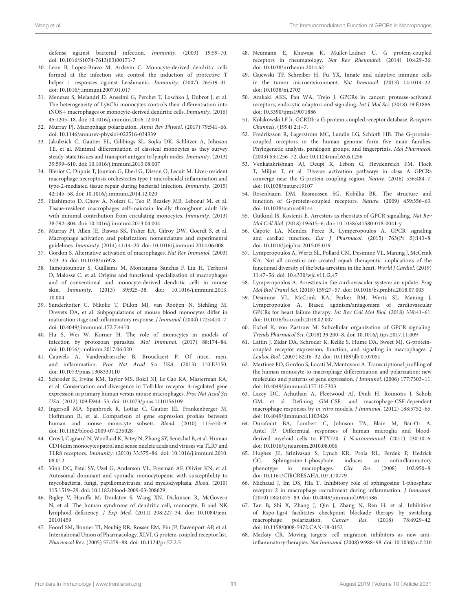defense against bacterial infection. Immunity. (2003) 19:59–70. doi: [10.1016/S1074-7613\(03\)00171-7](https://doi.org/10.1016/S1074-7613(03)00171-7)

- <span id="page-10-0"></span>30. Leon B, Lopez-Bravo M, Ardavin C. Monocyte-derived dendritic cells formed at the infection site control the induction of protective T helper 1 responses against Leishmania. Immunity. (2007) 26:519–31. doi: [10.1016/j.immuni.2007.01.017](https://doi.org/10.1016/j.immuni.2007.01.017)
- <span id="page-10-1"></span>31. Menezes S, Melandri D, Anselmi G, Perchet T, Loschko J, Dubrot J, et al. The heterogeneity of Ly6Chi monocytes controls their differentiation into iNOS+ macrophages or monocyte-derived dendritic cells. Immunity. (2016) 45:1205–18. doi: [10.1016/j.immuni.2016.12.001](https://doi.org/10.1016/j.immuni.2016.12.001)
- <span id="page-10-2"></span>32. Murray PJ. Macrophage polarization. Annu Rev Physiol. (2017) 79:541–66. doi: [10.1146/annurev-physiol-022516-034339](https://doi.org/10.1146/annurev-physiol-022516-034339)
- <span id="page-10-3"></span>33. Jakubzick C, Gautier EL, Gibbings SL, Sojka DK, Schlitzer A, Johnson TE, et al. Minimal differentiation of classical monocytes as they survey steady-state tissues and transport antigen to lymph nodes. Immunity. (2013) 39:599–610. doi: [10.1016/j.immuni.2013.08.007](https://doi.org/10.1016/j.immuni.2013.08.007)
- <span id="page-10-4"></span>34. Bleriot C, Dupuis T, Jouvion G, Eberl G, Disson O, Lecuit M. Liver-resident macrophage necroptosis orchestrates type 1 microbicidal inflammation and type-2-mediated tissue repair during bacterial infection. Immunity. (2015) 42:145–58. doi: [10.1016/j.immuni.2014.12.020](https://doi.org/10.1016/j.immuni.2014.12.020)
- <span id="page-10-5"></span>35. Hashimoto D, Chow A, Noizat C, Teo P, Beasley MB, Leboeuf M, et al. Tissue-resident macrophages self-maintain locally throughout adult life with minimal contribution from circulating monocytes. Immunity. (2013) 38:792–804. doi: [10.1016/j.immuni.2013.04.004](https://doi.org/10.1016/j.immuni.2013.04.004)
- <span id="page-10-6"></span>36. Murray PJ, Allen JE, Biswas SK, Fisher EA, Gilroy DW, Goerdt S, et al. Macrophage activation and polarization: nomenclature and experimental guidelines. Immunity. (2014) 41:14–20. doi: [10.1016/j.immuni.2014.06.008](https://doi.org/10.1016/j.immuni.2014.06.008)
- <span id="page-10-7"></span>37. Gordon S. Alternative activation of macrophages. Nat Rev Immunol. (2003) 3:23–35. doi: [10.1038/nri978](https://doi.org/10.1038/nri978)
- <span id="page-10-8"></span>38. Tamoutounour S, Guilliams M, Montanana Sanchis F, Liu H, Terhorst D, Malosse C, et al. Origins and functional specialization of macrophages and of conventional and monocyte-derived dendritic cells in mouse skin. Immunity[. \(2013\) 39:925–38. doi: 10.1016/j.immuni.2013.](https://doi.org/10.1016/j.immuni.2013.10.004) 10.004
- <span id="page-10-9"></span>39. Sunderkotter C, Nikolic T, Dillon MJ, van Rooijen N, Stehling M, Drevets DA, et al. Subpopulations of mouse blood monocytes differ in maturation stage and inflammatory response. J Immunol. (2004) 172:4410–7. doi: [10.4049/jimmunol.172.7.4410](https://doi.org/10.4049/jimmunol.172.7.4410)
- <span id="page-10-10"></span>40. Hu S, Wei W, Korner H. The role of monocytes in models of infection by protozoan parasites. Mol Immunol. (2017) 88:174–84. doi: [10.1016/j.molimm.2017.06.020](https://doi.org/10.1016/j.molimm.2017.06.020)
- <span id="page-10-11"></span>41. Cauwels A, Vandendriessche B, Brouckaert P. Of mice, men, and inflammation. Proc Nat Acad Sci USA. (2013) 110:E3150. doi: [10.1073/pnas.1308333110](https://doi.org/10.1073/pnas.1308333110)
- <span id="page-10-12"></span>42. Schroder K, Irvine KM, Taylor MS, Bokil NJ, Le Cao KA, Masterman KA, et al. Conservation and divergence in Toll-like receptor 4-regulated gene expression in primary human versus mouse macrophages. Proc Nat Acad Sci USA. (2012) 109:E944–53. doi: [10.1073/pnas.1110156109](https://doi.org/10.1073/pnas.1110156109)
- <span id="page-10-13"></span>43. Ingersoll MA, Spanbroek R, Lottaz C, Gautier EL, Frankenberger M, Hoffmann R, et al. Comparison of gene expression profiles between human and mouse monocyte subsets. Blood. (2010) 115:e10–9. doi: [10.1182/blood-2009-07-235028](https://doi.org/10.1182/blood-2009-07-235028)
- <span id="page-10-14"></span>44. Cros J, Cagnard N, Woollard K, Patey N, Zhang SY, Senechal B, et al. Human CD14dim monocytes patrol and sense nucleic acids and viruses via TLR7 and TLR8 receptors. Immunity[. \(2010\) 33:375–86. doi: 10.1016/j.immuni.2010.](https://doi.org/10.1016/j.immuni.2010.08.012) 08.012
- <span id="page-10-15"></span>45. Vinh DC, Patel SY, Uzel G, Anderson VL, Freeman AF, Olivier KN, et al. Autosomal dominant and sporadic monocytopenia with susceptibility to mycobacteria, fungi, papillomaviruses, and myelodysplasia. Blood. (2010) 115:1519–29. doi: [10.1182/blood-2009-03-208629](https://doi.org/10.1182/blood-2009-03-208629)
- <span id="page-10-16"></span>46. Bigley V, Haniffa M, Doulatov S, Wang XN, Dickinson R, McGovern N, et al. The human syndrome of dendritic cell, monocyte, B and NK lymphoid deficiency. J Exp Med[. \(2011\) 208:227–34. doi: 10.1084/jem.](https://doi.org/10.1084/jem.20101459) 20101459
- <span id="page-10-17"></span>47. Foord SM, Bonner TI, Neubig RR, Rosser EM, Pin JP, Davenport AP, et al. International Union of Pharmacology. XLVI. G protein-coupled receptor list. Pharmacol Rev. (2005) 57:279–88. doi: [10.1124/pr.57.2.5](https://doi.org/10.1124/pr.57.2.5)
- <span id="page-10-18"></span>48. Neumann E, Khawaja K, Muller-Ladner U. G protein-coupled receptors in rheumatology. Nat Rev Rheumatol. (2014) 10:429–36. doi: [10.1038/nrrheum.2014.62](https://doi.org/10.1038/nrrheum.2014.62)
- <span id="page-10-19"></span>49. Gajewski TF, Schreiber H, Fu YX. Innate and adaptive immune cells in the tumor microenvironment. Nat Immunol. (2013) 14:1014–22. doi: [10.1038/ni.2703](https://doi.org/10.1038/ni.2703)
- <span id="page-10-20"></span>50. Arakaki AKS, Pan WA, Trejo J. GPCRs in cancer: protease-activated receptors, endocytic adaptors and signaling. Int J Mol Sci. (2018) 19:E1886. doi: [10.3390/ijms19071886](https://doi.org/10.3390/ijms19071886)
- <span id="page-10-21"></span>51. Kolakowski LF Jr. GCRDb: a G-protein-coupled receptor database. Receptors Channels. (1994) 2:1–7.
- <span id="page-10-22"></span>52. Fredriksson R, Lagerstrom MC, Lundin LG, Schioth HB. The G-proteincoupled receptors in the human genome form five main families. Phylogenetic analysis, paralogon groups, and fingerprints. Mol Pharmacol. (2003) 63:1256–72. doi: [10.1124/mol.63.6.1256](https://doi.org/10.1124/mol.63.6.1256)
- <span id="page-10-23"></span>53. Venkatakrishnan AJ, Deupi X, Lebon G, Heydenreich FM, Flock T, Miljus T, et al. Diverse activation pathways in class A GPCRs converge near the G-protein-coupling region. Nature. (2016) 536:484–7. doi: [10.1038/nature19107](https://doi.org/10.1038/nature19107)
- <span id="page-10-24"></span>54. Rosenbaum DM, Rasmussen SG, Kobilka BK. The structure and function of G-protein-coupled receptors. Nature. (2009) 459:356–63. doi: [10.1038/nature08144](https://doi.org/10.1038/nature08144)
- <span id="page-10-25"></span>55. Gutkind JS, Kostenis E. Arrestins as rheostats of GPCR signalling. Nat Rev Mol Cell Biol. (2018) 19:615–6. doi: [10.1038/s41580-018-0041-y](https://doi.org/10.1038/s41580-018-0041-y)
- <span id="page-10-26"></span>56. Capote LA, Mendez Perez R, Lymperopoulos A. GPCR signaling and cardiac function. Eur J Pharmacol. (2015) 763(Pt B):143–8. doi: [10.1016/j.ejphar.2015.05.019](https://doi.org/10.1016/j.ejphar.2015.05.019)
- <span id="page-10-27"></span>57. Lymperopoulos A, Wertz SL, Pollard CM, Desimine VL, Maning J, McCrink KA. Not all arrestins are created equal: therapeutic implications of the functional diversity of the beta-arrestins in the heart. World J Cardiol. (2019) 11:47–56. doi: [10.4330/wjc.v11.i2.47](https://doi.org/10.4330/wjc.v11.i2.47)
- 58. Lymperopoulos A. Arrestins in the cardiovascular system: an update. Prog Mol Biol Transl Sci. (2018) 159:27–57. doi: [10.1016/bs.pmbts.2018.07.003](https://doi.org/10.1016/bs.pmbts.2018.07.003)
- 59. Desimine VL, McCrink KA, Parker BM, Wertz SL, Maning J, Lymperopoulos A. Biased agonism/antagonism of cardiovascular GPCRs for heart failure therapy. Int Rev Cell Mol Biol. (2018) 339:41–61. doi: [10.1016/bs.ircmb.2018.02.007](https://doi.org/10.1016/bs.ircmb.2018.02.007)
- <span id="page-10-28"></span>60. Eichel K, von Zastrow M. Subcellular organization of GPCR signaling. Trends Pharmacol Sci. (2018) 39:200–8. doi: [10.1016/j.tips.2017.11.009](https://doi.org/10.1016/j.tips.2017.11.009)
- <span id="page-10-33"></span>61. Lattin J, Zidar DA, Schroder K, Kellie S, Hume DA, Sweet MJ. G-proteincoupled receptor expression, function, and signaling in macrophages. J Leukoc Biol. (2007) 82:16–32. doi: [10.1189/jlb.0107051](https://doi.org/10.1189/jlb.0107051)
- <span id="page-10-34"></span>62. Martinez FO, Gordon S, Locati M, Mantovani A. Transcriptional profiling of the human monocyte-to-macrophage differentiation and polarization: new molecules and patterns of gene expression. J Immunol. (2006) 177:7303–11. doi: [10.4049/jimmunol.177.10.7303](https://doi.org/10.4049/jimmunol.177.10.7303)
- <span id="page-10-35"></span>63. Lacey DC, Achuthan A, Fleetwood AJ, Dinh H, Roiniotis J, Scholz GM, et al. Defining GM-CSF- and macrophage-CSF-dependent macrophage responses by in vitro models. J Immunol. (2012) 188:5752–65. doi: [10.4049/jimmunol.1103426](https://doi.org/10.4049/jimmunol.1103426)
- <span id="page-10-29"></span>64. Durafourt BA, Lambert C, Johnson TA, Blain M, Bar-Or A, Antel JP. Differential responses of human microglia and bloodderived myeloid cells to FTY720. J Neuroimmunol. (2011) 230:10–6. doi: [10.1016/j.jneuroim.2010.08.006](https://doi.org/10.1016/j.jneuroim.2010.08.006)
- <span id="page-10-36"></span>65. Hughes JE, Srinivasan S, Lynch KR, Proia RL, Ferdek P, Hedrick CC. Sphingosine-1-phosphate induces an antiinflammatory phenotype in macrophages. Circ Res. (2008) 102:950–8. doi: [10.1161/CIRCRESAHA.107.170779](https://doi.org/10.1161/CIRCRESAHA.107.170779)
- <span id="page-10-30"></span>66. Michaud J, Im DS, Hla T. Inhibitory role of sphingosine 1-phosphate receptor 2 in macrophage recruitment during inflammation. J Immunol. (2010) 184:1475–83. doi: [10.4049/jimmunol.0901586](https://doi.org/10.4049/jimmunol.0901586)
- <span id="page-10-31"></span>67. Tan B, Shi X, Zhang J, Qin J, Zhang N, Ren H, et al. Inhibition of Rspo-Lgr4 facilitates checkpoint blockade therapy by switching macrophage polarization. Cancer Res. (2018) 78:4929–42. doi: [10.1158/0008-5472.CAN-18-0152](https://doi.org/10.1158/0008-5472.CAN-18-0152)
- <span id="page-10-32"></span>68. Mackay CR. Moving targets: cell migration inhibitors as new antiinflammatory therapies. Nat Immunol. (2008) 9:988–98. doi: [10.1038/ni.f.210](https://doi.org/10.1038/ni.f.210)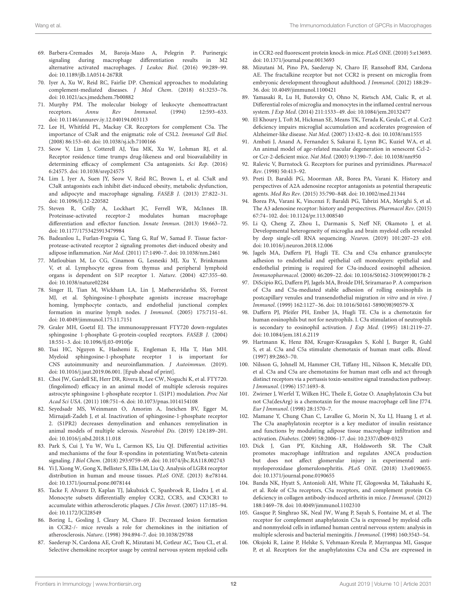- <span id="page-11-0"></span>69. Barbera-Cremades M, Baroja-Mazo A, Pelegrin P. Purinergic signaling during macrophage differentiation results in M2 alternative activated macrophages. J Leukoc Biol. (2016) 99:289–99. doi: [10.1189/jlb.1A0514-267RR](https://doi.org/10.1189/jlb.1A0514-267RR)
- <span id="page-11-1"></span>70. Iyer A, Xu W, Reid RC, Fairlie DP. Chemical approaches to modulating complement-mediated diseases. J Med Chem. (2018) 61:3253–76. doi: [10.1021/acs.jmedchem.7b00882](https://doi.org/10.1021/acs.jmedchem.7b00882)
- <span id="page-11-2"></span>71. Murphy PM. The molecular biology of leukocyte chemoattractant receptors. Annu Rev Immunol. (1994) 12:593–633. doi: [10.1146/annurev.iy.12.040194.003113](https://doi.org/10.1146/annurev.iy.12.040194.003113)
- <span id="page-11-34"></span>72. Lee H, Whitfeld PL, Mackay CR. Receptors for complement C5a. The importance of C5aR and the enigmatic role of C5L2. Immunol Cell Biol. (2008) 86:153–60. doi: [10.1038/sj.icb.7100166](https://doi.org/10.1038/sj.icb.7100166)
- <span id="page-11-3"></span>73. Seow V, Lim J, Cotterell AJ, Yau MK, Xu W, Lohman RJ, et al. Receptor residence time trumps drug-likeness and oral bioavailability in determining efficacy of complement C5a antagonists. Sci Rep. (2016) 6:24575. doi: [10.1038/srep24575](https://doi.org/10.1038/srep24575)
- <span id="page-11-4"></span>74. Lim J, Iyer A, Suen JY, Seow V, Reid RC, Brown L, et al. C5aR and C3aR antagonists each inhibit diet-induced obesity, metabolic dysfunction, and adipocyte and macrophage signaling. FASEB J. (2013) 27:822–31. doi: [10.1096/fj.12-220582](https://doi.org/10.1096/fj.12-220582)
- <span id="page-11-35"></span>75. Steven R, Crilly A, Lockhart JC, Ferrell WR, McInnes IB. Proteinase-activated receptor-2 modulates human macrophage differentiation and effector function. Innate Immun. (2013) 19:663–72. doi: [10.1177/1753425913479984](https://doi.org/10.1177/1753425913479984)
- <span id="page-11-5"></span>76. Badeanlou L, Furlan-Freguia C, Yang G, Ruf W, Samad F. Tissue factorprotease-activated receptor 2 signaling promotes diet-induced obesity and adipose inflammation. Nat Med. (2011) 17:1490–7. doi: [10.1038/nm.2461](https://doi.org/10.1038/nm.2461)
- <span id="page-11-6"></span>77. Matloubian M, Lo CG, Cinamon G, Lesneski MJ, Xu Y, Brinkmann V, et al. Lymphocyte egress from thymus and peripheral lymphoid organs is dependent on S1P receptor 1. Nature. (2004) 427:355–60. doi: [10.1038/nature02284](https://doi.org/10.1038/nature02284)
- <span id="page-11-7"></span>78. Singer II, Tian M, Wickham LA, Lin J, Matheravidathu SS, Forrest MJ, et al. Sphingosine-1-phosphate agonists increase macrophage homing, lymphocyte contacts, and endothelial junctional complex formation in murine lymph nodes. J Immunol. (2005) 175:7151–61. doi: [10.4049/jimmunol.175.11.7151](https://doi.org/10.4049/jimmunol.175.11.7151)
- <span id="page-11-8"></span>79. Graler MH, Goetzl EJ. The immunosuppressant FTY720 down-regulates sphingosine 1-phosphate G-protein-coupled receptors. FASEB J. (2004) 18:551–3. doi: [10.1096/fj.03-0910fje](https://doi.org/10.1096/fj.03-0910fje)
- <span id="page-11-9"></span>80. Tsai HC, Nguyen K, Hashemi E, Engleman E, Hla T, Han MH. Myeloid sphingosine-1-phosphate receptor 1 is important for CNS autoimmunity and neuroinflammation. J Autoimmun. (2019). doi: [10.1016/j.jaut.2019.06.001.](https://doi.org/10.1016/j.jaut.2019.06.001) [Epub ahead of print].
- <span id="page-11-10"></span>81. Choi JW, Gardell SE, Herr DR, Rivera R, Lee CW, Noguchi K, et al. FTY720. (fingolimod) efficacy in an animal model of multiple sclerosis requires astrocyte sphingosine 1-phosphate receptor 1. (S1P1) modulation. Proc Nat Acad Sci USA. (2011) 108:751–6. doi: [10.1073/pnas.1014154108](https://doi.org/10.1073/pnas.1014154108)
- <span id="page-11-11"></span>82. Seyedsadr MS, Weinmann O, Amorim A, Ineichen BV, Egger M, Mirnajafi-Zadeh J, et al. Inactivation of sphingosine-1-phosphate receptor 2. (S1PR2) decreases demyelination and enhances remyelination in animal models of multiple sclerosis. Neurobiol Dis. (2019) 124:189–201. doi: [10.1016/j.nbd.2018.11.018](https://doi.org/10.1016/j.nbd.2018.11.018)
- <span id="page-11-12"></span>83. Park S, Cui J, Yu W, Wu L, Carmon KS, Liu QJ. Differential activities and mechanisms of the four R-spondins in potentiating Wnt/beta-catenin signaling. J Biol Chem. (2018) 293:9759–69. doi: [10.1074/jbc.RA118.002743](https://doi.org/10.1074/jbc.RA118.002743)
- <span id="page-11-13"></span>84. Yi J, Xiong W, Gong X, Bellister S, Ellis LM, Liu Q. Analysis of LGR4 receptor distribution in human and mouse tissues. PLoS ONE. (2013) 8:e78144. doi: [10.1371/journal.pone.0078144](https://doi.org/10.1371/journal.pone.0078144)
- <span id="page-11-14"></span>85. Tacke F, Alvarez D, Kaplan TJ, Jakubzick C, Spanbroek R, Llodra J, et al. Monocyte subsets differentially employ CCR2, CCR5, and CX3CR1 to accumulate within atherosclerotic plaques. J Clin Invest. (2007) 117:185–94. doi: [10.1172/JCI28549](https://doi.org/10.1172/JCI28549)
- <span id="page-11-15"></span>86. Boring L, Gosling J, Cleary M, Charo IF. Decreased lesion formation in CCR2-/- mice reveals a role for chemokines in the initiation of atherosclerosis. Nature. (1998) 394:894–7. doi: [10.1038/29788](https://doi.org/10.1038/29788)
- <span id="page-11-16"></span>87. Saederup N, Cardona AE, Croft K, Mizutani M, Cotleur AC, Tsou CL, et al. Selective chemokine receptor usage by central nervous system myeloid cells

in CCR2-red fluorescent protein knock-in mice. PLoS ONE. (2010) 5:e13693. doi: [10.1371/journal.pone.0013693](https://doi.org/10.1371/journal.pone.0013693)

- <span id="page-11-17"></span>88. Mizutani M, Pino PA, Saederup N, Charo IF, Ransohoff RM, Cardona AE. The fractalkine receptor but not CCR2 is present on microglia from embryonic development throughout adulthood. J Immunol. (2012) 188:29– 36. doi: [10.4049/jimmunol.1100421](https://doi.org/10.4049/jimmunol.1100421)
- <span id="page-11-18"></span>89. Yamasaki R, Lu H, Butovsky O, Ohno N, Rietsch AM, Cialic R, et al. Differential roles of microglia and monocytes in the inflamed central nervous system. J Exp Med. (2014) 211:1533–49. doi: [10.1084/jem.20132477](https://doi.org/10.1084/jem.20132477)
- <span id="page-11-19"></span>90. El Khoury J, Toft M, Hickman SE, Means TK, Terada K, Geula C, et al. Ccr2 deficiency impairs microglial accumulation and accelerates progression of Alzheimer-like disease. Nat Med. (2007) 13:432–8. doi: [10.1038/nm1555](https://doi.org/10.1038/nm1555)
- <span id="page-11-20"></span>91. Ambati J, Anand A, Fernandez S, Sakurai E, Lynn BC, Kuziel WA, et al. An animal model of age-related macular degeneration in senescent Ccl-2 or Ccr-2-deficient mice. Nat Med. (2003) 9:1390–7. doi: [10.1038/nm950](https://doi.org/10.1038/nm950)
- <span id="page-11-21"></span>92. Ralevic V, Burnstock G. Receptors for purines and pyrimidines. Pharmacol Rev. (1998) 50:413–92.
- <span id="page-11-22"></span>93. Preti D, Baraldi PG, Moorman AR, Borea PA, Varani K. History and perspectives of A2A adenosine receptor antagonists as potential therapeutic agents. Med Res Rev. (2015) 35:790–848. doi: [10.1002/med.21344](https://doi.org/10.1002/med.21344)
- <span id="page-11-23"></span>94. Borea PA, Varani K, Vincenzi F, Baraldi PG, Tabrizi MA, Merighi S, et al. The A3 adenosine receptor: history and perspectives. Pharmacol Rev. (2015) 67:74–102. doi: [10.1124/pr.113.008540](https://doi.org/10.1124/pr.113.008540)
- <span id="page-11-24"></span>95. Li Q, Cheng Z, Zhou L, Darmanis S, Neff NF, Okamoto J, et al. Developmental heterogeneity of microglia and brain myeloid cells revealed by deep single-cell RNA sequencing. Neuron. (2019) 101:207–23 e10. doi: [10.1016/j.neuron.2018.12.006](https://doi.org/10.1016/j.neuron.2018.12.006)
- <span id="page-11-25"></span>96. Jagels MA, Daffern PJ, Hugli TE. C3a and C5a enhance granulocyte adhesion to endothelial and epithelial cell monolayers: epithelial and endothelial priming is required for C3a-induced eosinophil adhesion. Immunopharmacol. (2000) 46:209–22. doi: [10.1016/S0162-3109\(99\)00178-2](https://doi.org/10.1016/S0162-3109(99)00178-2)
- <span id="page-11-26"></span>97. DiScipio RG, Daffern PJ, Jagels MA, Broide DH, Sriramarao P. A comparison of C3a and C5a-mediated stable adhesion of rolling eosinophils in postcapillary venules and transendothelial migration in vitro and in vivo. J Immunol. (1999) 162:1127–36. doi: [10.1016/S0161-5890\(98\)90579-X](https://doi.org/10.1016/S0161-5890(98)90579-X)
- <span id="page-11-27"></span>98. Daffern PJ, Pfeifer PH, Ember JA, Hugli TE. C3a is a chemotaxin for human eosinophils but not for neutrophils. I. C3a stimulation of neutrophils is secondary to eosinophil activation. J Exp Med. (1995) 181:2119–27. doi: [10.1084/jem.181.6.2119](https://doi.org/10.1084/jem.181.6.2119)
- <span id="page-11-28"></span>99. Hartmann K, Henz BM, Kruger-Krasagakes S, Kohl J, Burger R, Guhl S, et al. C3a and C5a stimulate chemotaxis of human mast cells. Blood. (1997) 89:2863–70.
- <span id="page-11-29"></span>100. Nilsson G, Johnell M, Hammer CH, Tiffany HL, Nilsson K, Metcalfe DD, et al. C3a and C5a are chemotaxins for human mast cells and act through distinct receptors via a pertussis toxin-sensitive signal transduction pathway. J Immunol. (1996) 157:1693–8.
- <span id="page-11-30"></span>101. Zwirner J, Werfel T, Wilken HC, Theile E, Gotze O. Anaphylatoxin C3a but not C3a(desArg) is a chemotaxin for the mouse macrophage cell line J774. Eur J Immunol. (1998) 28:1570–7.
- <span id="page-11-31"></span>102. Mamane Y, Chung Chan C, Lavallee G, Morin N, Xu LJ, Huang J, et al. The C3a anaphylatoxin receptor is a key mediator of insulin resistance and functions by modulating adipose tissue macrophage infiltration and activation. Diabetes. (2009) 58:2006–17. doi: [10.2337/db09-0323](https://doi.org/10.2337/db09-0323)
- <span id="page-11-32"></span>103. Dick J, Gan PY, Kitching AR, Holdsworth SR. The C3aR promotes macrophage infiltration and regulates ANCA production but does not affect glomerular injury in experimental antimyeloperoxidase glomerulonephritis. PLoS ONE. (2018) 13:e0190655. doi: [10.1371/journal.pone.0190655](https://doi.org/10.1371/journal.pone.0190655)
- 104. Banda NK, Hyatt S, Antonioli AH, White JT, Glogowska M, Takahashi K, et al. Role of C3a receptors, C5a receptors, and complement protein C6 deficiency in collagen antibody-induced arthritis in mice. J Immunol. (2012) 188:1469–78. doi: [10.4049/jimmunol.1102310](https://doi.org/10.4049/jimmunol.1102310)
- 105. Gasque P, Singhrao SK, Neal JW, Wang P, Sayah S, Fontaine M, et al. The receptor for complement anaphylatoxin C3a is expressed by myeloid cells and nonmyeloid cells in inflamed human central nervous system: analysis in multiple sclerosis and bacterial meningitis. J Immunol. (1998) 160:3543–54.
- <span id="page-11-33"></span>106. Oksjoki R, Laine P, Helske S, Vehmaan-Kreula P, Mayranpaa MI, Gasque P, et al. Receptors for the anaphylatoxins C3a and C5a are expressed in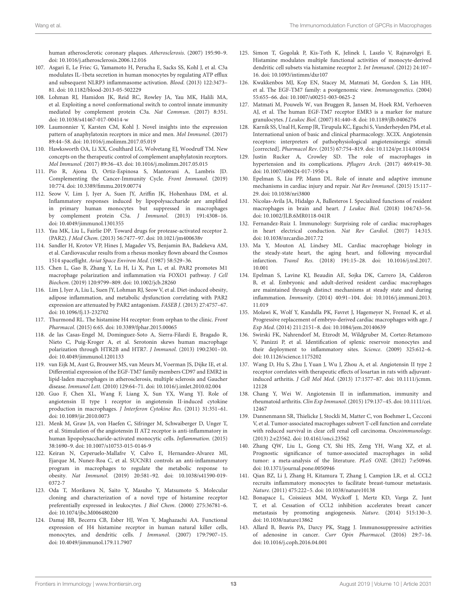human atherosclerotic coronary plaques. Atherosclerosis. (2007) 195:90–9. doi: [10.1016/j.atherosclerosis.2006.12.016](https://doi.org/10.1016/j.atherosclerosis.2006.12.016)

- <span id="page-12-0"></span>107. Asgari E, Le Friec G, Yamamoto H, Perucha E, Sacks SS, Kohl J, et al. C3a modulates IL-1beta secretion in human monocytes by regulating ATP efflux and subsequent NLRP3 inflammasome activation. Blood. (2013) 122:3473– 81. doi: [10.1182/blood-2013-05-502229](https://doi.org/10.1182/blood-2013-05-502229)
- <span id="page-12-1"></span>108. Lohman RJ, Hamidon JK, Reid RC, Rowley JA, Yau MK, Halili MA, et al. Exploiting a novel conformational switch to control innate immunity mediated by complement protein C3a. Nat Commun. (2017) 8:351. doi: [10.1038/s41467-017-00414-w](https://doi.org/10.1038/s41467-017-00414-w)
- <span id="page-12-2"></span>109. Laumonnier Y, Karsten CM, Kohl J. Novel insights into the expression pattern of anaphylatoxin receptors in mice and men. Mol Immunol. (2017) 89:44–58. doi: [10.1016/j.molimm.2017.05.019](https://doi.org/10.1016/j.molimm.2017.05.019)
- <span id="page-12-3"></span>110. Hawksworth OA, Li XX, Coulthard LG, Wolvetang EJ, Woodruff TM. New concepts on the therapeutic control of complement anaphylatoxin receptors. Mol Immunol. (2017) 89:36–43. doi: [10.1016/j.molimm.2017.05.015](https://doi.org/10.1016/j.molimm.2017.05.015)
- <span id="page-12-4"></span>111. Pio R, Ajona D, Ortiz-Espinosa S, Mantovani A, Lambris JD. Complementing the Cancer-Immunity Cycle. Front Immunol. (2019) 10:774. doi: [10.3389/fimmu.2019.00774](https://doi.org/10.3389/fimmu.2019.00774)
- <span id="page-12-5"></span>112. Seow V, Lim J, Iyer A, Suen JY, Ariffin JK, Hohenhaus DM, et al. Inflammatory responses induced by lipopolysaccharide are amplified in primary human monocytes but suppressed in macrophages by complement protein C5a. J Immunol. (2013) 191:4308–16. doi: [10.4049/jimmunol.1301355](https://doi.org/10.4049/jimmunol.1301355)
- <span id="page-12-6"></span>113. Yau MK, Liu L, Fairlie DP. Toward drugs for protease-activated receptor 2. (PAR2). J Med Chem. (2013) 56:7477–97. doi: [10.1021/jm400638v](https://doi.org/10.1021/jm400638v)
- <span id="page-12-7"></span>114. Sandler H, Krotov VP, Hines J, Magadev VS, Benjamin BA, Badekeva AM, et al. Cardiovascular results from a rhesus monkey flown aboard the Cosmos 1514 spaceflight. Aviat Space Environ Med. (1987) 58:529–36.
- <span id="page-12-8"></span>115. Chen L, Gao B, Zhang Y, Lu H, Li X, Pan L, et al. PAR2 promotes M1 macrophage polarization and inflammation via FOXO1 pathway. J Cell Biochem. (2019) 120:9799–809. doi: [10.1002/jcb.28260](https://doi.org/10.1002/jcb.28260)
- <span id="page-12-9"></span>116. Lim J, Iyer A, Liu L, Suen JY, Lohman RJ, Seow V, et al. Diet-induced obesity, adipose inflammation, and metabolic dysfunction correlating with PAR2 expression are attenuated by PAR2 antagonism. FASEB J. (2013) 27:4757–67. doi: [10.1096/fj.13-232702](https://doi.org/10.1096/fj.13-232702)
- <span id="page-12-13"></span>117. Thurmond RL. The histamine H4 receptor: from orphan to the clinic. Front Pharmacol. (2015) 6:65. doi: [10.3389/fphar.2015.00065](https://doi.org/10.3389/fphar.2015.00065)
- <span id="page-12-14"></span>118. de las Casas-Engel M, Dominguez-Soto A, Sierra-Filardi E, Bragado R, Nieto C, Puig-Kroger A, et al. Serotonin skews human macrophage polarization through HTR2B and HTR7. J Immunol. (2013) 190:2301–10. doi: [10.4049/jimmunol.1201133](https://doi.org/10.4049/jimmunol.1201133)
- <span id="page-12-15"></span>119. van Eijk M, Aust G, Brouwer MS, van Meurs M, Voerman JS, Dijke IE, et al. Differential expression of the EGF-TM7 family members CD97 and EMR2 in lipid-laden macrophages in atherosclerosis, multiple sclerosis and Gaucher disease. Immunol Lett. (2010) 129:64–71. doi: [10.1016/j.imlet.2010.02.004](https://doi.org/10.1016/j.imlet.2010.02.004)
- <span id="page-12-16"></span>120. Guo F, Chen XL, Wang F, Liang X, Sun YX, Wang YJ. Role of angiotensin II type 1 receptor in angiotensin II-induced cytokine production in macrophages. J Interferon Cytokine Res. (2011) 31:351–61. doi: [10.1089/jir.2010.0073](https://doi.org/10.1089/jir.2010.0073)
- <span id="page-12-17"></span>121. Menk M, Graw JA, von Haefen C, Sifringer M, Schwaiberger D, Unger T, et al. Stimulation of the angiotensin II AT2 receptor is anti-inflammatory in human lipopolysaccharide-activated monocytic cells. Inflammation. (2015) 38:1690–9. doi: [10.1007/s10753-015-0146-9](https://doi.org/10.1007/s10753-015-0146-9)
- <span id="page-12-18"></span>122. Keiran N, Ceperuelo-Mallafre V, Calvo E, Hernandez-Alvarez MI, Ejarque M, Nunez-Roa C, et al. SUCNR1 controls an anti-inflammatory program in macrophages to regulate the metabolic response to obesity. Nat Immunol[. \(2019\) 20:581–92. doi: 10.1038/s41590-019-](https://doi.org/10.1038/s41590-019-0372-7) 0372-7
- <span id="page-12-10"></span>123. Oda T, Morikawa N, Saito Y, Masuho Y, Matsumoto S. Molecular cloning and characterization of a novel type of histamine receptor preferentially expressed in leukocytes. J Biol Chem. (2000) 275:36781–6. doi: [10.1074/jbc.M006480200](https://doi.org/10.1074/jbc.M006480200)
- <span id="page-12-11"></span>124. Damaj BB, Becerra CB, Esber HJ, Wen Y, Maghazachi AA. Functional expression of H4 histamine receptor in human natural killer cells, monocytes, and dendritic cells. J Immunol. (2007) 179:7907–15. doi: [10.4049/jimmunol.179.11.7907](https://doi.org/10.4049/jimmunol.179.11.7907)
- <span id="page-12-12"></span>125. Simon T, Gogolak P, Kis-Toth K, Jelinek I, Laszlo V, Rajnavolgyi E. Histamine modulates multiple functional activities of monocyte-derived dendritic cell subsets via histamine receptor 2. Int Immunol. (2012) 24:107– 16. doi: [10.1093/intimm/dxr107](https://doi.org/10.1093/intimm/dxr107)
- <span id="page-12-19"></span>126. Kwakkenbos MJ, Kop EN, Stacey M, Matmati M, Gordon S, Lin HH, et al. The EGF-TM7 family: a postgenomic view. Immunogenetics. (2004) 55:655–66. doi: [10.1007/s00251-003-0625-2](https://doi.org/10.1007/s00251-003-0625-2)
- <span id="page-12-20"></span>127. Matmati M, Pouwels W, van Bruggen R, Jansen M, Hoek RM, Verhoeven AJ, et al. The human EGF-TM7 receptor EMR3 is a marker for mature granulocytes. J Leukoc Biol. (2007) 81:440–8. doi: [10.1189/jlb.0406276](https://doi.org/10.1189/jlb.0406276)
- <span id="page-12-21"></span>128. Karnik SS, Unal H, Kemp JR, Tirupula KC, Eguchi S, Vanderheyden PM, et al. International union of basic and clinical pharmacology. XCIX. Angiotensin receptors: interpreters of pathophysiological angiotensinergic stimuli [corrected]. Pharmacol Rev. (2015) 67:754–819. doi: [10.1124/pr.114.010454](https://doi.org/10.1124/pr.114.010454)
- <span id="page-12-22"></span>129. Justin Rucker A, Crowley SD. The role of macrophages in hypertension and its complications. Pflugers Arch. (2017) 469:419–30. doi: [10.1007/s00424-017-1950-x](https://doi.org/10.1007/s00424-017-1950-x)
- <span id="page-12-23"></span>130. Epelman S, Liu PP, Mann DL. Role of innate and adaptive immune mechanisms in cardiac injury and repair. Nat Rev Immunol. (2015) 15:117– 29. doi: [10.1038/nri3800](https://doi.org/10.1038/nri3800)
- <span id="page-12-26"></span>131. Nicolas-Avila JA, Hidalgo A, Ballesteros I. Specialized functions of resident macrophages in brain and heart. J Leukoc Biol. (2018) 104:743–56. doi: [10.1002/JLB.6MR0118-041R](https://doi.org/10.1002/JLB.6MR0118-041R)
- <span id="page-12-27"></span>132. Fernandez-Ruiz I. Immunology: Surprising role of cardiac macrophages in heart electrical conduction. Nat Rev Cardiol. (2017) 14:315. doi: [10.1038/nrcardio.2017.72](https://doi.org/10.1038/nrcardio.2017.72)
- <span id="page-12-24"></span>133. Ma Y, Mouton AJ, Lindsey ML. Cardiac macrophage biology in the steady-state heart, the aging heart, and following myocardial infarction. Transl Res[. \(2018\) 191:15–28. doi: 10.1016/j.trsl.2017.](https://doi.org/10.1016/j.trsl.2017.10.001) 10.001
- <span id="page-12-25"></span>134. Epelman S, Lavine KJ, Beaudin AE, Sojka DK, Carrero JA, Calderon B, et al. Embryonic and adult-derived resident cardiac macrophages are maintained through distinct mechanisms at steady state and during inflammation. Immunity[. \(2014\) 40:91–104. doi: 10.1016/j.immuni.2013.](https://doi.org/10.1016/j.immuni.2013.11.019) 11.019
- <span id="page-12-28"></span>135. Molawi K, Wolf Y, Kandalla PK, Favret J, Hagemeyer N, Frenzel K, et al. Progressive replacement of embryo-derived cardiac macrophages with age. J Exp Med. (2014) 211:2151–8. doi: [10.1084/jem.20140639](https://doi.org/10.1084/jem.20140639)
- <span id="page-12-29"></span>136. Swirski FK, Nahrendorf M, Etzrodt M, Wildgruber M, Cortez-Retamozo V, Panizzi P, et al. Identification of splenic reservoir monocytes and their deployment to inflammatory sites. Science. (2009) 325:612–6. doi: [10.1126/science.1175202](https://doi.org/10.1126/science.1175202)
- <span id="page-12-30"></span>137. Wang D, Hu S, Zhu J, Yuan J, Wu J, Zhou A, et al. Angiotensin II type 2 receptor correlates with therapeutic effects of losartan in rats with adjuvantinduced arthritis. J Cell Mol Med[. \(2013\) 17:1577–87. doi: 10.1111/jcmm.](https://doi.org/10.1111/jcmm.12128) 12128
- <span id="page-12-31"></span>138. Chang Y, Wei W. Angiotensin II in inflammation, immunity and rheumatoid arthritis. Clin Exp Immunol[. \(2015\) 179:137–45. doi: 10.1111/cei.](https://doi.org/10.1111/cei.12467) 12467
- <span id="page-12-32"></span>139. Dannenmann SR, Thielicke J, Stockli M, Matter C, von Boehmer L, Cecconi V, et al. Tumor-associated macrophages subvert T-cell function and correlate with reduced survival in clear cell renal cell carcinoma. Oncoimmunology. (2013) 2:e23562. doi: [10.4161/onci.23562](https://doi.org/10.4161/onci.23562)
- <span id="page-12-33"></span>140. Zhang QW, Liu L, Gong CY, Shi HS, Zeng YH, Wang XZ, et al. Prognostic significance of tumor-associated macrophages in solid tumor: a meta-analysis of the literature. PLoS ONE. (2012) 7:e50946. doi: [10.1371/journal.pone.0050946](https://doi.org/10.1371/journal.pone.0050946)
- <span id="page-12-34"></span>141. Qian BZ, Li J, Zhang H, Kitamura T, Zhang J, Campion LR, et al. CCL2 recruits inflammatory monocytes to facilitate breast-tumour metastasis. Nature. (2011) 475:222–5. doi: [10.1038/nature10138](https://doi.org/10.1038/nature10138)
- <span id="page-12-35"></span>142. Bonapace L, Coissieux MM, Wyckoff J, Mertz KD, Varga Z, Junt T, et al. Cessation of CCL2 inhibition accelerates breast cancer metastasis by promoting angiogenesis. Nature. (2014) 515:130–3. doi: [10.1038/nature13862](https://doi.org/10.1038/nature13862)
- <span id="page-12-36"></span>143. Allard B, Beavis PA, Darcy PK, Stagg J. Immunosuppressive activities of adenosine in cancer. Curr Opin Pharmacol. (2016) 29:7–16. doi: [10.1016/j.coph.2016.04.001](https://doi.org/10.1016/j.coph.2016.04.001)